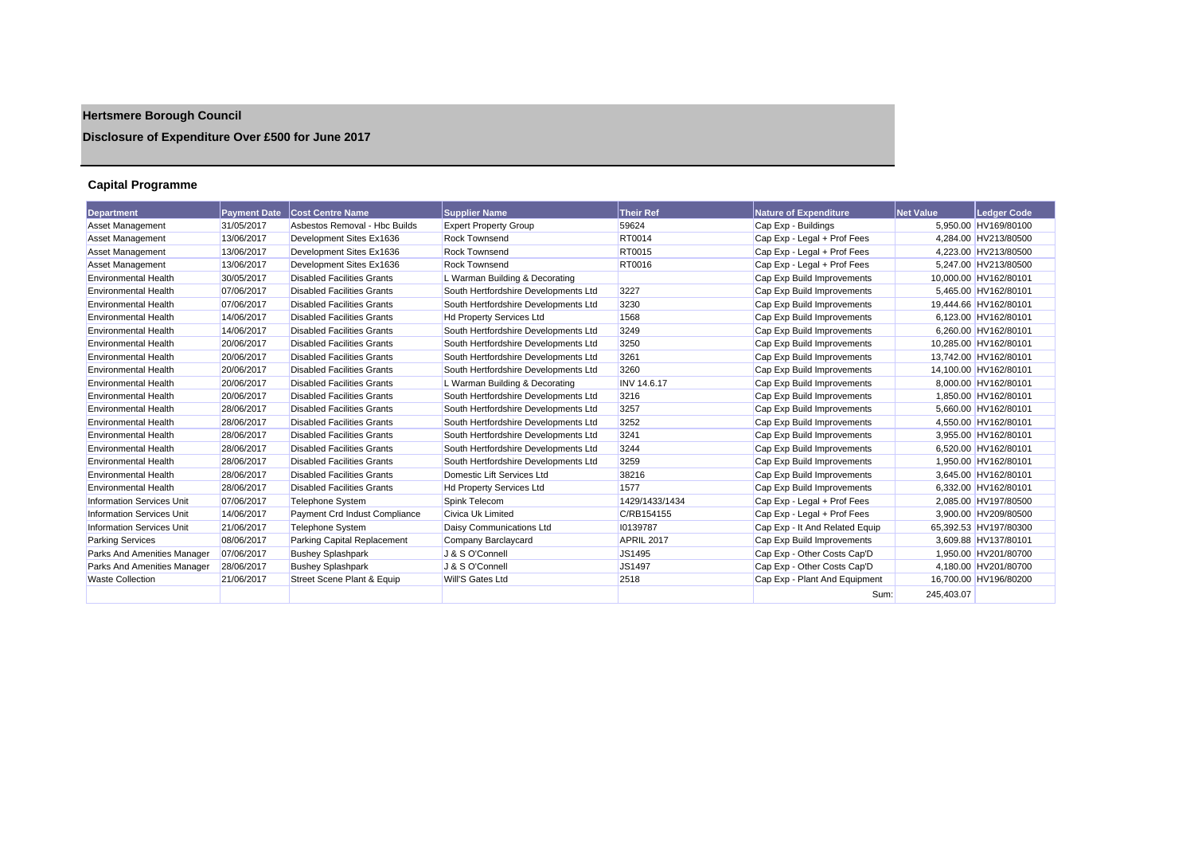# **Hertsmere Borough Council**

## **Disclosure of Expenditure Over £500 for June 2017**

## **Capital Programme**

| Department                       | <b>Payment Date</b> | <b>Cost Centre Name</b>           | <b>Supplier Name</b>                 | <b>Their Ref</b>   | <b>Nature of Expenditure</b>   | <b>Net Value</b> | Ledger Code           |
|----------------------------------|---------------------|-----------------------------------|--------------------------------------|--------------------|--------------------------------|------------------|-----------------------|
| <b>Asset Management</b>          | 31/05/2017          | Asbestos Removal - Hbc Builds     | <b>Expert Property Group</b>         | 59624              | Cap Exp - Buildings            |                  | 5.950.00 HV169/80100  |
| <b>Asset Management</b>          | 13/06/2017          | Development Sites Ex1636          | <b>Rock Townsend</b>                 | <b>RT0014</b>      | Cap Exp - Legal + Prof Fees    |                  | 4.284.00 HV213/80500  |
| <b>Asset Management</b>          | 13/06/2017          | Development Sites Ex1636          | <b>Rock Townsend</b>                 | <b>RT0015</b>      | Cap Exp - Legal + Prof Fees    |                  | 4,223.00 HV213/80500  |
| Asset Management                 | 13/06/2017          | Development Sites Ex1636          | <b>Rock Townsend</b>                 | <b>RT0016</b>      | Cap Exp - Legal + Prof Fees    |                  | 5.247.00 HV213/80500  |
| <b>Environmental Health</b>      | 30/05/2017          | <b>Disabled Facilities Grants</b> | L Warman Building & Decorating       |                    | Cap Exp Build Improvements     |                  | 10,000.00 HV162/80101 |
| <b>Environmental Health</b>      | 07/06/2017          | <b>Disabled Facilities Grants</b> | South Hertfordshire Developments Ltd | 3227               | Cap Exp Build Improvements     |                  | 5.465.00 HV162/80101  |
| <b>Environmental Health</b>      | 07/06/2017          | <b>Disabled Facilities Grants</b> | South Hertfordshire Developments Ltd | 3230               | Cap Exp Build Improvements     |                  | 19,444.66 HV162/80101 |
| <b>Environmental Health</b>      | 14/06/2017          | <b>Disabled Facilities Grants</b> | <b>Hd Property Services Ltd</b>      | 1568               | Cap Exp Build Improvements     |                  | 6.123.00 HV162/80101  |
| <b>Environmental Health</b>      | 14/06/2017          | <b>Disabled Facilities Grants</b> | South Hertfordshire Developments Ltd | 3249               | Cap Exp Build Improvements     |                  | 6,260.00 HV162/80101  |
| <b>Environmental Health</b>      | 20/06/2017          | <b>Disabled Facilities Grants</b> | South Hertfordshire Developments Ltd | 3250               | Cap Exp Build Improvements     |                  | 10,285.00 HV162/80101 |
| <b>Environmental Health</b>      | 20/06/2017          | <b>Disabled Facilities Grants</b> | South Hertfordshire Developments Ltd | 3261               | Cap Exp Build Improvements     |                  | 13,742.00 HV162/80101 |
| <b>Environmental Health</b>      | 20/06/2017          | <b>Disabled Facilities Grants</b> | South Hertfordshire Developments Ltd | 3260               | Cap Exp Build Improvements     |                  | 14.100.00 HV162/80101 |
| <b>Environmental Health</b>      | 20/06/2017          | <b>Disabled Facilities Grants</b> | L Warman Building & Decorating       | <b>INV 14.6.17</b> | Cap Exp Build Improvements     |                  | 8.000.00 HV162/80101  |
| <b>Environmental Health</b>      | 20/06/2017          | <b>Disabled Facilities Grants</b> | South Hertfordshire Developments Ltd | 3216               | Cap Exp Build Improvements     |                  | 1,850.00 HV162/80101  |
| <b>Environmental Health</b>      | 28/06/2017          | <b>Disabled Facilities Grants</b> | South Hertfordshire Developments Ltd | 3257               | Cap Exp Build Improvements     |                  | 5,660.00 HV162/80101  |
| <b>Environmental Health</b>      | 28/06/2017          | <b>Disabled Facilities Grants</b> | South Hertfordshire Developments Ltd | 3252               | Cap Exp Build Improvements     |                  | 4.550.00 HV162/80101  |
| <b>Environmental Health</b>      | 28/06/2017          | <b>Disabled Facilities Grants</b> | South Hertfordshire Developments Ltd | 3241               | Cap Exp Build Improvements     |                  | 3,955.00 HV162/80101  |
| <b>Environmental Health</b>      | 28/06/2017          | <b>Disabled Facilities Grants</b> | South Hertfordshire Developments Ltd | 3244               | Cap Exp Build Improvements     |                  | 6.520.00 HV162/80101  |
| <b>Environmental Health</b>      | 28/06/2017          | <b>Disabled Facilities Grants</b> | South Hertfordshire Developments Ltd | 3259               | Cap Exp Build Improvements     |                  | 1.950.00 HV162/80101  |
| <b>Environmental Health</b>      | 28/06/2017          | <b>Disabled Facilities Grants</b> | Domestic Lift Services Ltd           | 38216              | Cap Exp Build Improvements     |                  | 3.645.00 HV162/80101  |
| <b>Environmental Health</b>      | 28/06/2017          | <b>Disabled Facilities Grants</b> | <b>Hd Property Services Ltd</b>      | 1577               | Cap Exp Build Improvements     |                  | 6.332.00 HV162/80101  |
| <b>Information Services Unit</b> | 07/06/2017          | <b>Telephone System</b>           | Spink Telecom                        | 1429/1433/1434     | Cap Exp - Legal + Prof Fees    |                  | 2.085.00 HV197/80500  |
| <b>Information Services Unit</b> | 14/06/2017          | Payment Crd Indust Compliance     | Civica Uk Limited                    | C/RB154155         | Cap Exp - Legal + Prof Fees    |                  | 3.900.00 HV209/80500  |
| <b>Information Services Unit</b> | 21/06/2017          | <b>Telephone System</b>           | Daisy Communications Ltd             | 10139787           | Cap Exp - It And Related Equip |                  | 65,392.53 HV197/80300 |
| <b>Parking Services</b>          | 08/06/2017          | Parking Capital Replacement       | Company Barclaycard                  | APRIL 2017         | Cap Exp Build Improvements     |                  | 3,609.88 HV137/80101  |
| Parks And Amenities Manager      | 07/06/2017          | <b>Bushey Splashpark</b>          | J & S O'Connell                      | JS1495             | Cap Exp - Other Costs Cap'D    |                  | 1.950.00 HV201/80700  |
| Parks And Amenities Manager      | 28/06/2017          | <b>Bushey Splashpark</b>          | J & S O'Connell                      | <b>JS1497</b>      | Cap Exp - Other Costs Cap'D    |                  | 4,180.00 HV201/80700  |
| <b>Waste Collection</b>          | 21/06/2017          | Street Scene Plant & Equip        | Will'S Gates Ltd                     | 2518               | Cap Exp - Plant And Equipment  |                  | 16,700.00 HV196/80200 |
|                                  |                     |                                   |                                      |                    | Sum:                           | 245,403.07       |                       |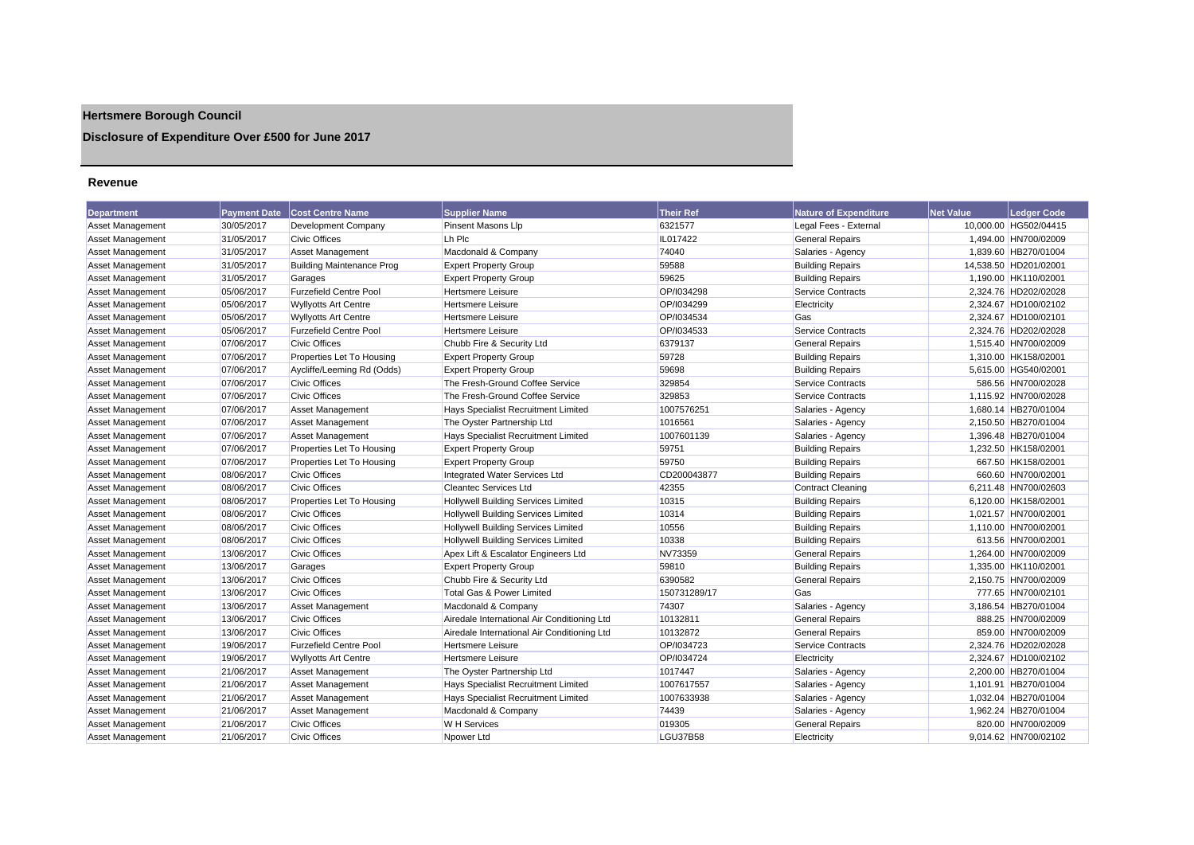## **Hertsmere Borough Council**

## **Disclosure of Expenditure Over £500 for June 2017**

#### **Revenue**

| <b>Department</b>       | <b>Payment Date</b> | <b>Cost Centre Name</b>          | <b>Supplier Name</b>                        | <b>Their Ref</b> | <b>Nature of Expenditure</b> | <b>Net Value</b> | <b>Ledger Code</b>    |
|-------------------------|---------------------|----------------------------------|---------------------------------------------|------------------|------------------------------|------------------|-----------------------|
| Asset Management        | 30/05/2017          | <b>Development Company</b>       | Pinsent Masons Llp                          | 6321577          | Legal Fees - External        |                  | 10,000.00 HG502/04415 |
| <b>Asset Management</b> | 31/05/2017          | <b>Civic Offices</b>             | Lh Plc                                      | IL017422         | <b>General Repairs</b>       |                  | 1,494.00 HN700/02009  |
| Asset Management        | 31/05/2017          | <b>Asset Management</b>          | Macdonald & Company                         | 74040            | Salaries - Agency            |                  | 1,839.60 HB270/01004  |
| <b>Asset Management</b> | 31/05/2017          | <b>Building Maintenance Prog</b> | <b>Expert Property Group</b>                | 59588            | <b>Building Repairs</b>      |                  | 14,538.50 HD201/02001 |
| <b>Asset Management</b> | 31/05/2017          | Garages                          | <b>Expert Property Group</b>                | 59625            | <b>Building Repairs</b>      |                  | 1,190.00 HK110/02001  |
| <b>Asset Management</b> | 05/06/2017          | <b>Furzefield Centre Pool</b>    | <b>Hertsmere Leisure</b>                    | OP/I034298       | <b>Service Contracts</b>     |                  | 2,324.76 HD202/02028  |
| <b>Asset Management</b> | 05/06/2017          | <b>Wyllyotts Art Centre</b>      | Hertsmere Leisure                           | OP/I034299       | Electricity                  |                  | 2,324.67 HD100/02102  |
| Asset Management        | 05/06/2017          | <b>Wyllyotts Art Centre</b>      | <b>Hertsmere Leisure</b>                    | OP/I034534       | Gas                          |                  | 2,324.67 HD100/02101  |
| <b>Asset Management</b> | 05/06/2017          | <b>Furzefield Centre Pool</b>    | Hertsmere Leisure                           | OP/I034533       | <b>Service Contracts</b>     |                  | 2,324.76 HD202/02028  |
| <b>Asset Management</b> | 07/06/2017          | <b>Civic Offices</b>             | Chubb Fire & Security Ltd                   | 6379137          | <b>General Repairs</b>       |                  | 1,515.40 HN700/02009  |
| Asset Management        | 07/06/2017          | Properties Let To Housing        | <b>Expert Property Group</b>                | 59728            | <b>Building Repairs</b>      |                  | 1,310.00 HK158/02001  |
| <b>Asset Management</b> | 07/06/2017          | Aycliffe/Leeming Rd (Odds)       | <b>Expert Property Group</b>                | 59698            | <b>Building Repairs</b>      |                  | 5,615.00 HG540/02001  |
| Asset Management        | 07/06/2017          | <b>Civic Offices</b>             | The Fresh-Ground Coffee Service             | 329854           | <b>Service Contracts</b>     |                  | 586.56 HN700/02028    |
| <b>Asset Management</b> | 07/06/2017          | <b>Civic Offices</b>             | The Fresh-Ground Coffee Service             | 329853           | <b>Service Contracts</b>     |                  | 1,115.92 HN700/02028  |
| <b>Asset Management</b> | 07/06/2017          | <b>Asset Management</b>          | Hays Specialist Recruitment Limited         | 1007576251       | Salaries - Agency            |                  | 1,680.14 HB270/01004  |
| <b>Asset Management</b> | 07/06/2017          | <b>Asset Management</b>          | The Oyster Partnership Ltd                  | 1016561          | Salaries - Agency            |                  | 2,150.50 HB270/01004  |
| Asset Management        | 07/06/2017          | <b>Asset Management</b>          | <b>Hays Specialist Recruitment Limited</b>  | 1007601139       | Salaries - Agency            |                  | 1,396.48 HB270/01004  |
| <b>Asset Management</b> | 07/06/2017          | Properties Let To Housing        | <b>Expert Property Group</b>                | 59751            | <b>Building Repairs</b>      |                  | 1,232.50 HK158/02001  |
| Asset Management        | 07/06/2017          | Properties Let To Housing        | <b>Expert Property Group</b>                | 59750            | <b>Building Repairs</b>      |                  | 667.50 HK158/02001    |
| Asset Management        | 08/06/2017          | <b>Civic Offices</b>             | Integrated Water Services Ltd               | CD200043877      | <b>Building Repairs</b>      |                  | 660.60 HN700/02001    |
| <b>Asset Management</b> | 08/06/2017          | <b>Civic Offices</b>             | <b>Cleantec Services Ltd</b>                | 42355            | <b>Contract Cleaning</b>     |                  | 6,211.48 HN700/02603  |
| <b>Asset Management</b> | 08/06/2017          | Properties Let To Housing        | <b>Hollywell Building Services Limited</b>  | 10315            | <b>Building Repairs</b>      |                  | 6.120.00 HK158/02001  |
| <b>Asset Management</b> | 08/06/2017          | <b>Civic Offices</b>             | <b>Hollywell Building Services Limited</b>  | 10314            | <b>Building Repairs</b>      |                  | 1,021.57 HN700/02001  |
| Asset Management        | 08/06/2017          | <b>Civic Offices</b>             | Hollywell Building Services Limited         | 10556            | <b>Building Repairs</b>      |                  | 1,110.00 HN700/02001  |
| Asset Management        | 08/06/2017          | <b>Civic Offices</b>             | <b>Hollywell Building Services Limited</b>  | 10338            | <b>Building Repairs</b>      |                  | 613.56 HN700/02001    |
| <b>Asset Management</b> | 13/06/2017          | <b>Civic Offices</b>             | Apex Lift & Escalator Engineers Ltd         | NV73359          | <b>General Repairs</b>       |                  | 1.264.00 HN700/02009  |
| <b>Asset Management</b> | 13/06/2017          | Garages                          | <b>Expert Property Group</b>                | 59810            | <b>Building Repairs</b>      |                  | 1,335.00 HK110/02001  |
| <b>Asset Management</b> | 13/06/2017          | <b>Civic Offices</b>             | Chubb Fire & Security Ltd                   | 6390582          | <b>General Repairs</b>       |                  | 2,150.75 HN700/02009  |
| Asset Management        | 13/06/2017          | <b>Civic Offices</b>             | Total Gas & Power Limited                   | 150731289/17     | Gas                          |                  | 777.65 HN700/02101    |
| Asset Management        | 13/06/2017          | <b>Asset Management</b>          | Macdonald & Company                         | 74307            | Salaries - Agency            |                  | 3.186.54 HB270/01004  |
| <b>Asset Management</b> | 13/06/2017          | <b>Civic Offices</b>             | Airedale International Air Conditioning Ltd | 10132811         | <b>General Repairs</b>       |                  | 888.25 HN700/02009    |
| <b>Asset Management</b> | 13/06/2017          | <b>Civic Offices</b>             | Airedale International Air Conditioning Ltd | 10132872         | <b>General Repairs</b>       |                  | 859.00 HN700/02009    |
| <b>Asset Management</b> | 19/06/2017          | <b>Furzefield Centre Pool</b>    | <b>Hertsmere Leisure</b>                    | OP/1034723       | <b>Service Contracts</b>     |                  | 2,324.76 HD202/02028  |
| Asset Management        | 19/06/2017          | <b>Wyllyotts Art Centre</b>      | <b>Hertsmere Leisure</b>                    | OP/I034724       | Electricity                  |                  | 2,324.67 HD100/02102  |
| <b>Asset Management</b> | 21/06/2017          | <b>Asset Management</b>          | The Oyster Partnership Ltd                  | 1017447          | Salaries - Agency            |                  | 2,200.00 HB270/01004  |
| <b>Asset Management</b> | 21/06/2017          | <b>Asset Management</b>          | <b>Hays Specialist Recruitment Limited</b>  | 1007617557       | Salaries - Agency            |                  | 1,101.91 HB270/01004  |
| Asset Management        | 21/06/2017          | <b>Asset Management</b>          | Hays Specialist Recruitment Limited         | 1007633938       | Salaries - Agency            |                  | 1,032.04 HB270/01004  |
| <b>Asset Management</b> | 21/06/2017          | <b>Asset Management</b>          | Macdonald & Company                         | 74439            | Salaries - Agency            |                  | 1,962.24 HB270/01004  |
| Asset Management        | 21/06/2017          | <b>Civic Offices</b>             | W H Services                                | 019305           | <b>General Repairs</b>       |                  | 820.00 HN700/02009    |
| Asset Management        | 21/06/2017          | Civic Offices                    | Noower Ltd                                  | <b>LGU37B58</b>  | Electricity                  |                  | 9.014.62 HN700/02102  |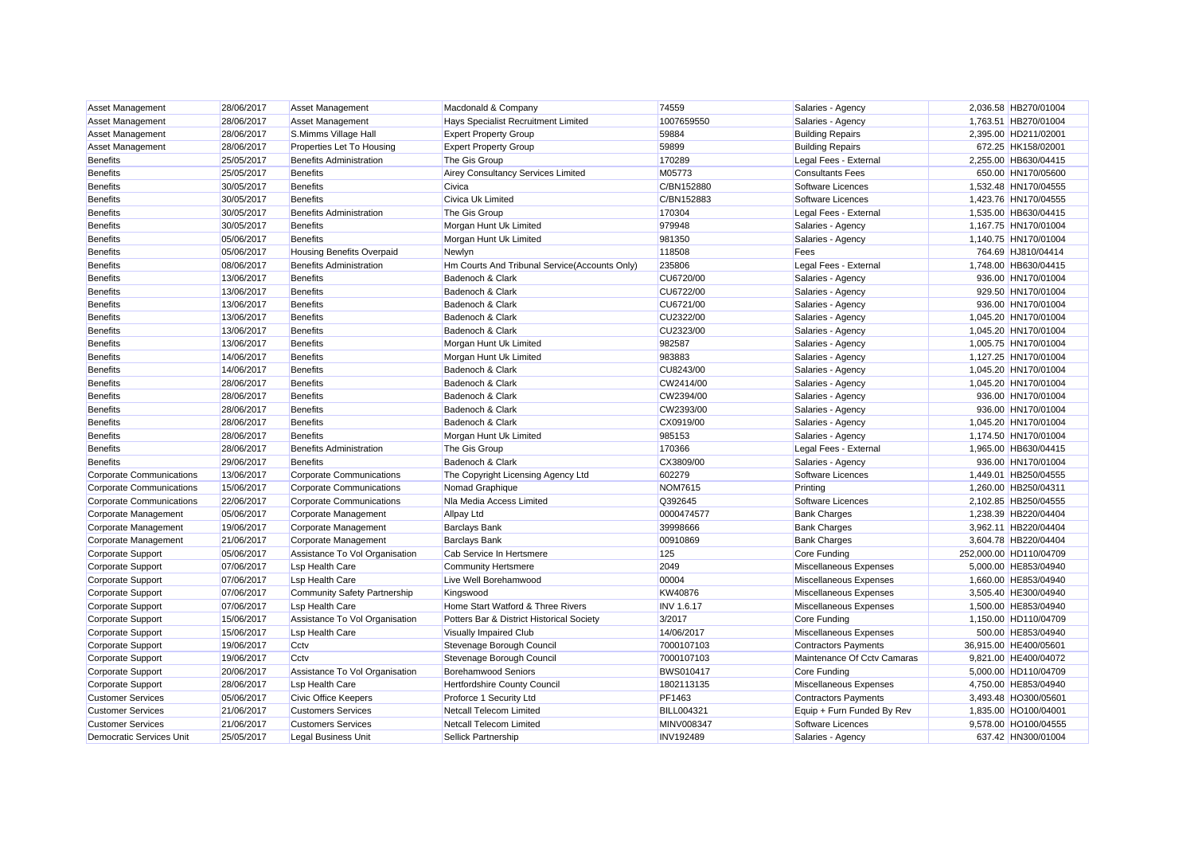| <b>Asset Management</b>         | 28/06/2017 | <b>Asset Management</b>         | Macdonald & Company                           | 74559             | Salaries - Agency           | 2,036.58 HB270/01004   |
|---------------------------------|------------|---------------------------------|-----------------------------------------------|-------------------|-----------------------------|------------------------|
| Asset Management                | 28/06/2017 | <b>Asset Management</b>         | Hays Specialist Recruitment Limited           | 1007659550        | Salaries - Agency           | 1,763.51 HB270/01004   |
| Asset Management                | 28/06/2017 | S.Mimms Village Hall            | <b>Expert Property Group</b>                  | 59884             | <b>Building Repairs</b>     | 2,395.00 HD211/02001   |
| Asset Management                | 28/06/2017 | Properties Let To Housing       | <b>Expert Property Group</b>                  | 59899             | <b>Building Repairs</b>     | 672.25 HK158/02001     |
| <b>Benefits</b>                 | 25/05/2017 | <b>Benefits Administration</b>  | The Gis Group                                 | 170289            | Legal Fees - External       | 2,255.00 HB630/04415   |
| <b>Benefits</b>                 | 25/05/2017 | <b>Benefits</b>                 | Airey Consultancy Services Limited            | M05773            | <b>Consultants Fees</b>     | 650.00 HN170/05600     |
| <b>Benefits</b>                 | 30/05/2017 | <b>Benefits</b>                 | Civica                                        | C/BN152880        | Software Licences           | 1,532.48 HN170/04555   |
| <b>Benefits</b>                 | 30/05/2017 | <b>Benefits</b>                 | Civica Uk Limited                             | C/BN152883        | Software Licences           | 1,423.76 HN170/04555   |
| <b>Benefits</b>                 | 30/05/2017 | <b>Benefits Administration</b>  | The Gis Group                                 | 170304            | Legal Fees - External       | 1,535.00 HB630/04415   |
| <b>Benefits</b>                 | 30/05/2017 | <b>Benefits</b>                 | Morgan Hunt Uk Limited                        | 979948            | Salaries - Agency           | 1,167.75 HN170/01004   |
| <b>Benefits</b>                 | 05/06/2017 | <b>Benefits</b>                 | Morgan Hunt Uk Limited                        | 981350            | Salaries - Agency           | 1,140.75 HN170/01004   |
| <b>Benefits</b>                 | 05/06/2017 | Housing Benefits Overpaid       | Newlyn                                        | 118508            | Fees                        | 764.69 HJ810/04414     |
| <b>Benefits</b>                 | 08/06/2017 | <b>Benefits Administration</b>  | Hm Courts And Tribunal Service(Accounts Only) | 235806            | Legal Fees - External       | 1,748.00 HB630/04415   |
| <b>Benefits</b>                 | 13/06/2017 | <b>Benefits</b>                 | Badenoch & Clark                              | CU6720/00         | Salaries - Agency           | 936.00 HN170/01004     |
| <b>Benefits</b>                 | 13/06/2017 | <b>Benefits</b>                 | Badenoch & Clark                              | CU6722/00         | Salaries - Agency           | 929.50 HN170/01004     |
| <b>Benefits</b>                 | 13/06/2017 | <b>Benefits</b>                 | Badenoch & Clark                              | CU6721/00         | Salaries - Agency           | 936.00 HN170/01004     |
| <b>Benefits</b>                 | 13/06/2017 | <b>Benefits</b>                 | Badenoch & Clark                              | CU2322/00         | Salaries - Agency           | 1,045.20 HN170/01004   |
| <b>Benefits</b>                 | 13/06/2017 | <b>Benefits</b>                 | Badenoch & Clark                              | CU2323/00         | Salaries - Agency           | 1.045.20 HN170/01004   |
| <b>Benefits</b>                 | 13/06/2017 | <b>Benefits</b>                 | Morgan Hunt Uk Limited                        | 982587            | Salaries - Agency           | 1,005.75 HN170/01004   |
| <b>Benefits</b>                 | 14/06/2017 | <b>Benefits</b>                 | Morgan Hunt Uk Limited                        | 983883            | Salaries - Agency           | 1,127.25 HN170/01004   |
| <b>Benefits</b>                 | 14/06/2017 | <b>Benefits</b>                 | Badenoch & Clark                              | CU8243/00         | Salaries - Agency           | 1,045.20 HN170/01004   |
| <b>Benefits</b>                 | 28/06/2017 | <b>Benefits</b>                 | Badenoch & Clark                              | CW2414/00         | Salaries - Agency           | 1,045.20 HN170/01004   |
| <b>Benefits</b>                 | 28/06/2017 | <b>Benefits</b>                 | Badenoch & Clark                              | CW2394/00         | Salaries - Agency           | 936.00 HN170/01004     |
| Benefits                        | 28/06/2017 | <b>Benefits</b>                 | Badenoch & Clark                              | CW2393/00         | Salaries - Agency           | 936.00 HN170/01004     |
| <b>Benefits</b>                 | 28/06/2017 | <b>Benefits</b>                 | Badenoch & Clark                              | CX0919/00         | Salaries - Agency           | 1,045.20 HN170/01004   |
| <b>Benefits</b>                 | 28/06/2017 | <b>Benefits</b>                 | Morgan Hunt Uk Limited                        | 985153            | Salaries - Agency           | 1,174.50 HN170/01004   |
| <b>Benefits</b>                 | 28/06/2017 | <b>Benefits Administration</b>  | The Gis Group                                 | 170366            | Legal Fees - External       | 1,965.00 HB630/04415   |
| Benefits                        | 29/06/2017 | <b>Benefits</b>                 | Badenoch & Clark                              | CX3809/00         | Salaries - Agency           | 936.00 HN170/01004     |
| <b>Corporate Communications</b> | 13/06/2017 | <b>Corporate Communications</b> | The Copyright Licensing Agency Ltd            | 602279            | Software Licences           | 1,449.01 HB250/04555   |
| <b>Corporate Communications</b> | 15/06/2017 | <b>Corporate Communications</b> | Nomad Graphique                               | <b>NOM7615</b>    | Printing                    | 1,260.00 HB250/04311   |
| <b>Corporate Communications</b> | 22/06/2017 | <b>Corporate Communications</b> | Nla Media Access Limited                      | Q392645           | Software Licences           | 2,102.85 HB250/04555   |
| Corporate Management            | 05/06/2017 | Corporate Management            | <b>Allpay Ltd</b>                             | 0000474577        | <b>Bank Charges</b>         | 1,238.39 HB220/04404   |
| Corporate Management            | 19/06/2017 | Corporate Management            | <b>Barclays Bank</b>                          | 39998666          | <b>Bank Charges</b>         | 3,962.11 HB220/04404   |
| Corporate Management            | 21/06/2017 | Corporate Management            | <b>Barclays Bank</b>                          | 00910869          | <b>Bank Charges</b>         | 3,604.78 HB220/04404   |
| <b>Corporate Support</b>        | 05/06/2017 | Assistance To Vol Organisation  | Cab Service In Hertsmere                      | 125               | Core Funding                | 252,000.00 HD110/04709 |
| Corporate Support               | 07/06/2017 | <b>Lsp Health Care</b>          | <b>Community Hertsmere</b>                    | 2049              | Miscellaneous Expenses      | 5,000.00 HE853/04940   |
| <b>Corporate Support</b>        | 07/06/2017 | <b>Lsp Health Care</b>          | Live Well Borehamwood                         | 00004             | Miscellaneous Expenses      | 1,660.00 HE853/04940   |
| Corporate Support               | 07/06/2017 | Community Safety Partnership    | Kingswood                                     | KW40876           | Miscellaneous Expenses      | 3,505.40 HE300/04940   |
| <b>Corporate Support</b>        | 07/06/2017 | <b>Lsp Health Care</b>          | Home Start Watford & Three Rivers             | <b>INV 1.6.17</b> | Miscellaneous Expenses      | 1,500.00 HE853/04940   |
| <b>Corporate Support</b>        | 15/06/2017 | Assistance To Vol Organisation  | Potters Bar & District Historical Society     | 3/2017            | Core Funding                | 1,150.00 HD110/04709   |
| Corporate Support               | 15/06/2017 | <b>Lsp Health Care</b>          | Visually Impaired Club                        | 14/06/2017        | Miscellaneous Expenses      | 500.00 HE853/04940     |
| Corporate Support               | 19/06/2017 | Cctv                            | Stevenage Borough Council                     | 7000107103        | <b>Contractors Payments</b> | 36,915.00 HE400/05601  |
| <b>Corporate Support</b>        | 19/06/2017 | Cctv                            | Stevenage Borough Council                     | 7000107103        | Maintenance Of Cctv Camaras | 9,821.00 HE400/04072   |
| Corporate Support               | 20/06/2017 | Assistance To Vol Organisation  | <b>Borehamwood Seniors</b>                    | <b>BWS010417</b>  | Core Funding                | 5,000.00 HD110/04709   |
| <b>Corporate Support</b>        | 28/06/2017 | <b>Lsp Health Care</b>          | Hertfordshire County Council                  | 1802113135        | Miscellaneous Expenses      | 4,750.00 HE853/04940   |
| <b>Customer Services</b>        | 05/06/2017 | Civic Office Keepers            | Proforce 1 Security Ltd                       | PF1463            | <b>Contractors Payments</b> | 3,493.48 HO300/05601   |
| <b>Customer Services</b>        | 21/06/2017 | <b>Customers Services</b>       | <b>Netcall Telecom Limited</b>                | <b>BILL004321</b> | Equip + Furn Funded By Rev  | 1,835.00 HO100/04001   |
| <b>Customer Services</b>        | 21/06/2017 | <b>Customers Services</b>       | Netcall Telecom Limited                       | <b>MINV008347</b> | Software Licences           | 9.578.00 HO100/04555   |
| <b>Democratic Services Unit</b> | 25/05/2017 | <b>Legal Business Unit</b>      | Sellick Partnership                           | <b>INV192489</b>  | Salaries - Agency           | 637.42 HN300/01004     |
|                                 |            |                                 |                                               |                   |                             |                        |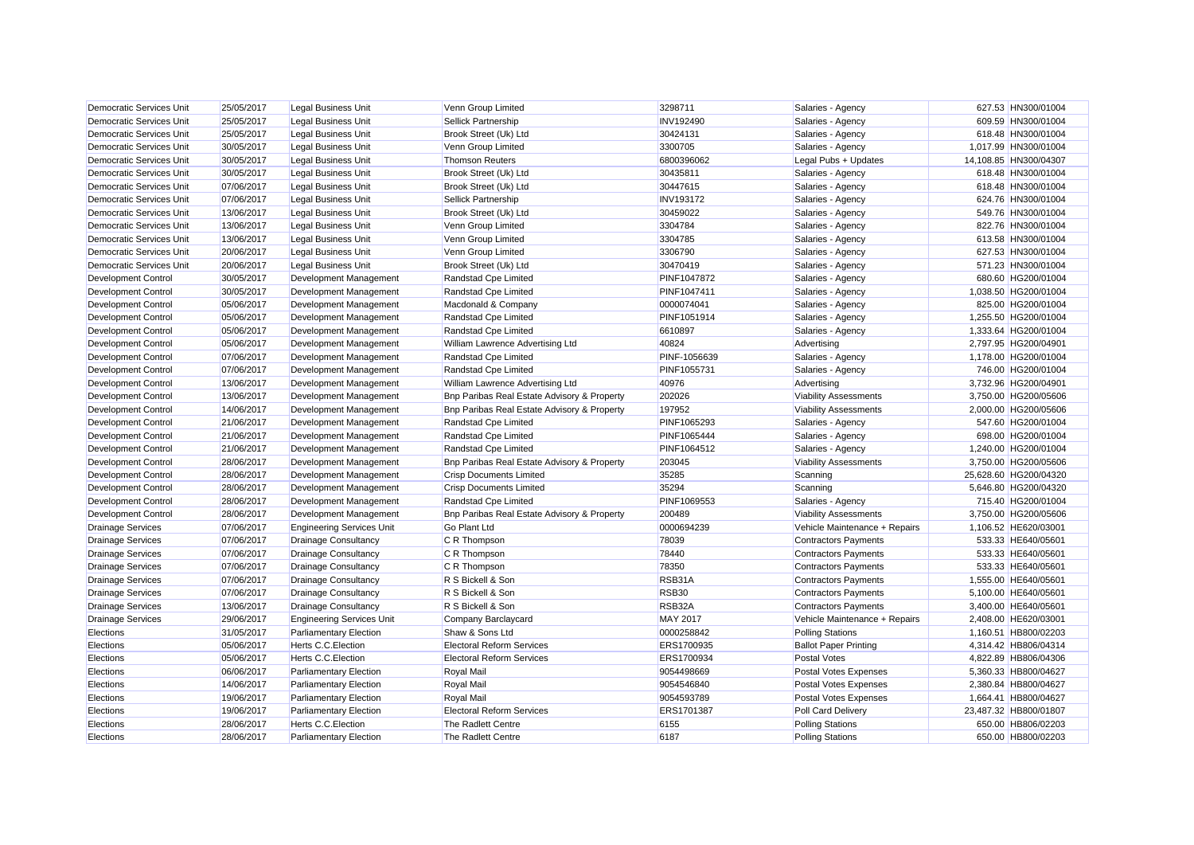| <b>Democratic Services Unit</b><br><b>Legal Business Unit</b><br>Venn Group Limited<br>3298711<br>627.53 HN300/01004<br>25/05/2017<br>Salaries - Agency<br>Democratic Services Unit<br>25/05/2017<br><b>Legal Business Unit</b><br>Sellick Partnership<br><b>INV192490</b><br>Salaries - Agency<br>609.59 HN300/01004<br>Democratic Services Unit<br>25/05/2017<br><b>Legal Business Unit</b><br>Brook Street (Uk) Ltd<br>30424131<br>Salaries - Agency<br>618.48 HN300/01004<br>Democratic Services Unit<br>30/05/2017<br><b>Legal Business Unit</b><br>Venn Group Limited<br>3300705<br>Salaries - Agency<br>1,017.99 HN300/01004<br><b>Democratic Services Unit</b><br>30/05/2017<br><b>Legal Business Unit</b><br><b>Thomson Reuters</b><br>Legal Pubs + Updates<br>14,108.85 HN300/04307<br>6800396062<br>30/05/2017<br><b>Democratic Services Unit</b><br><b>Legal Business Unit</b><br>Brook Street (Uk) Ltd<br>30435811<br>Salaries - Agency<br>618.48 HN300/01004<br>07/06/2017<br>Salaries - Agency<br>Democratic Services Unit<br><b>Legal Business Unit</b><br>Brook Street (Uk) Ltd<br>30447615<br>618.48 HN300/01004<br>Democratic Services Unit<br>07/06/2017<br><b>Legal Business Unit</b><br>Sellick Partnership<br><b>INV193172</b><br>Salaries - Agency<br>624.76 HN300/01004<br>Democratic Services Unit<br>13/06/2017<br><b>Legal Business Unit</b><br>Brook Street (Uk) Ltd<br>30459022<br>Salaries - Agency<br>549.76 HN300/01004<br>Democratic Services Unit<br>13/06/2017<br><b>Legal Business Unit</b><br>Venn Group Limited<br>3304784<br>822.76 HN300/01004<br>Salaries - Agency<br>13/06/2017<br>Democratic Services Unit<br><b>Legal Business Unit</b><br>Venn Group Limited<br>3304785<br>Salaries - Agency<br>613.58 HN300/01004<br>20/06/2017<br>Democratic Services Unit<br><b>Legal Business Unit</b><br>Venn Group Limited<br>3306790<br>Salaries - Agency<br>627.53 HN300/01004<br>Democratic Services Unit<br>20/06/2017<br>30470419<br>571.23 HN300/01004<br><b>Legal Business Unit</b><br>Brook Street (Uk) Ltd<br>Salaries - Agency<br>30/05/2017<br>680.60 HG200/01004<br>Development Management<br>PINF1047872<br>Development Control<br>Randstad Cpe Limited<br>Salaries - Agency<br>30/05/2017<br>1,038.50 HG200/01004<br><b>Development Control</b><br>Development Management<br>Randstad Cpe Limited<br>PINF1047411<br>Salaries - Agency<br>05/06/2017<br>825.00 HG200/01004<br><b>Development Control</b><br>Development Management<br>Macdonald & Company<br>0000074041<br>Salaries - Agency<br>05/06/2017<br>PINF1051914<br>1,255.50 HG200/01004<br>Development Control<br>Development Management<br>Randstad Cpe Limited<br>Salaries - Agency<br>05/06/2017<br>1,333.64 HG200/01004<br><b>Development Control</b><br>Development Management<br>Randstad Cpe Limited<br>6610897<br>Salaries - Agency<br>05/06/2017<br>Development Control<br>Development Management<br>William Lawrence Advertising Ltd<br>40824<br>Advertising<br>2.797.95 HG200/04901<br>07/06/2017<br>Randstad Cpe Limited<br>1,178.00 HG200/01004<br>Development Control<br>Development Management<br>PINF-1056639<br>Salaries - Agency<br>Development Control<br>07/06/2017<br>Development Management<br>Randstad Cpe Limited<br>PINF1055731<br>Salaries - Agency<br>746.00 HG200/01004<br>13/06/2017<br>3,732.96 HG200/04901<br>Development Control<br>Development Management<br>William Lawrence Advertising Ltd<br>40976<br>Advertising<br>13/06/2017<br>Bnp Paribas Real Estate Advisory & Property<br>202026<br>3,750.00 HG200/05606<br>Development Control<br>Development Management<br><b>Viability Assessments</b><br><b>Development Control</b><br>14/06/2017<br>Development Management<br>Bnp Paribas Real Estate Advisory & Property<br>197952<br><b>Viability Assessments</b><br>2,000.00 HG200/05606<br>21/06/2017<br>547.60 HG200/01004<br><b>Development Control</b><br>Development Management<br>Randstad Cpe Limited<br>PINF1065293<br>Salaries - Agency<br>21/06/2017<br>698.00 HG200/01004<br><b>Development Control</b><br>Development Management<br>Randstad Cpe Limited<br>PINF1065444<br>Salaries - Agency<br>21/06/2017<br>Development Management<br>Randstad Cpe Limited<br>Salaries - Agency<br>1,240.00 HG200/01004<br>Development Control<br>PINF1064512<br><b>Development Control</b><br>28/06/2017<br>Development Management<br>Bnp Paribas Real Estate Advisory & Property<br><b>Viability Assessments</b><br>3,750.00 HG200/05606<br>203045<br><b>Crisp Documents Limited</b><br>35285<br>25.628.60 HG200/04320<br><b>Development Control</b><br>28/06/2017<br>Development Management<br>Scanning<br>Development Control<br>28/06/2017<br>Development Management<br><b>Crisp Documents Limited</b><br>35294<br>5,646.80 HG200/04320<br>Scanning<br><b>Development Control</b><br>28/06/2017<br>Development Management<br>Randstad Cpe Limited<br>PINF1069553<br>Salaries - Agency<br>715.40 HG200/01004<br>Bnp Paribas Real Estate Advisory & Property<br>Development Control<br>28/06/2017<br>Development Management<br>200489<br><b>Viability Assessments</b><br>3,750.00 HG200/05606<br>07/06/2017<br><b>Engineering Services Unit</b><br><b>Go Plant Ltd</b><br>0000694239<br>1,106.52 HE620/03001<br><b>Drainage Services</b><br>Vehicle Maintenance + Repairs<br><b>Drainage Services</b><br>07/06/2017<br><b>Drainage Consultancy</b><br>78039<br><b>Contractors Payments</b><br>533.33 HE640/05601<br>C R Thompson<br>07/06/2017<br>78440<br>533.33 HE640/05601<br><b>Drainage Services</b><br><b>Drainage Consultancy</b><br>C R Thompson<br><b>Contractors Payments</b><br><b>Drainage Services</b><br>07/06/2017<br><b>Drainage Consultancy</b><br>78350<br>533.33 HE640/05601<br>C R Thompson<br><b>Contractors Payments</b><br>RSB31A<br><b>Drainage Services</b><br>07/06/2017<br>Drainage Consultancy<br>R S Bickell & Son<br>1,555.00 HE640/05601<br><b>Contractors Payments</b><br><b>Drainage Services</b><br>07/06/2017<br><b>RSB30</b><br>5,100.00 HE640/05601<br><b>Drainage Consultancy</b><br>R S Bickell & Son<br><b>Contractors Payments</b><br>RSB32A<br>Drainage Services<br>13/06/2017<br><b>Drainage Consultancy</b><br>3.400.00 HE640/05601<br>R S Bickell & Son<br><b>Contractors Payments</b><br><b>Drainage Services</b><br>29/06/2017<br><b>MAY 2017</b><br>2,408.00 HE620/03001<br><b>Engineering Services Unit</b><br>Company Barclaycard<br>Vehicle Maintenance + Repairs<br>0000258842<br>Elections<br>31/05/2017<br><b>Parliamentary Election</b><br>Shaw & Sons Ltd<br><b>Polling Stations</b><br>1,160.51 HB800/02203<br>05/06/2017<br>Elections<br><b>Herts C.C. Election</b><br><b>Electoral Reform Services</b><br>ERS1700935<br><b>Ballot Paper Printing</b><br>4.314.42 HB806/04314<br>05/06/2017<br>Herts C.C. Election<br>4,822.89 HB806/04306<br>Elections<br><b>Electoral Reform Services</b><br>ERS1700934<br><b>Postal Votes</b><br>Elections<br>06/06/2017<br><b>Royal Mail</b><br>9054498669<br>Postal Votes Expenses<br>5,360.33 HB800/04627<br><b>Parliamentary Election</b><br>14/06/2017<br>2,380.84 HB800/04627<br>Elections<br><b>Parliamentary Election</b><br>Royal Mail<br>9054546840<br><b>Postal Votes Expenses</b><br>19/06/2017<br>9054593789<br>1,664.41 HB800/04627<br>Elections<br><b>Parliamentary Election</b><br>Royal Mail<br><b>Postal Votes Expenses</b><br>19/06/2017<br><b>Parliamentary Election</b><br><b>Electoral Reform Services</b><br>ERS1701387<br>Poll Card Delivery<br>23,487.32 HB800/01807<br>Elections<br>28/06/2017<br>Elections<br><b>Herts C.C. Election</b><br>The Radlett Centre<br>6155<br><b>Polling Stations</b><br>650.00 HB806/02203<br>28/06/2017<br>6187<br>650.00 HB800/02203<br>Elections<br><b>Parliamentary Election</b><br>The Radlett Centre<br><b>Polling Stations</b> |  |  |  |  |
|---------------------------------------------------------------------------------------------------------------------------------------------------------------------------------------------------------------------------------------------------------------------------------------------------------------------------------------------------------------------------------------------------------------------------------------------------------------------------------------------------------------------------------------------------------------------------------------------------------------------------------------------------------------------------------------------------------------------------------------------------------------------------------------------------------------------------------------------------------------------------------------------------------------------------------------------------------------------------------------------------------------------------------------------------------------------------------------------------------------------------------------------------------------------------------------------------------------------------------------------------------------------------------------------------------------------------------------------------------------------------------------------------------------------------------------------------------------------------------------------------------------------------------------------------------------------------------------------------------------------------------------------------------------------------------------------------------------------------------------------------------------------------------------------------------------------------------------------------------------------------------------------------------------------------------------------------------------------------------------------------------------------------------------------------------------------------------------------------------------------------------------------------------------------------------------------------------------------------------------------------------------------------------------------------------------------------------------------------------------------------------------------------------------------------------------------------------------------------------------------------------------------------------------------------------------------------------------------------------------------------------------------------------------------------------------------------------------------------------------------------------------------------------------------------------------------------------------------------------------------------------------------------------------------------------------------------------------------------------------------------------------------------------------------------------------------------------------------------------------------------------------------------------------------------------------------------------------------------------------------------------------------------------------------------------------------------------------------------------------------------------------------------------------------------------------------------------------------------------------------------------------------------------------------------------------------------------------------------------------------------------------------------------------------------------------------------------------------------------------------------------------------------------------------------------------------------------------------------------------------------------------------------------------------------------------------------------------------------------------------------------------------------------------------------------------------------------------------------------------------------------------------------------------------------------------------------------------------------------------------------------------------------------------------------------------------------------------------------------------------------------------------------------------------------------------------------------------------------------------------------------------------------------------------------------------------------------------------------------------------------------------------------------------------------------------------------------------------------------------------------------------------------------------------------------------------------------------------------------------------------------------------------------------------------------------------------------------------------------------------------------------------------------------------------------------------------------------------------------------------------------------------------------------------------------------------------------------------------------------------------------------------------------------------------------------------------------------------------------------------------------------------------------------------------------------------------------------------------------------------------------------------------------------------------------------------------------------------------------------------------------------------------------------------------------------------------------------------------------------------------------------------------------------------------------------------------------------------------------------------------------------------------------------------------------------------------------------------------------------------------------------------------------------------------------------------------------------------------------------------------------------------------------------------------------------------------------------------------------------------------------------------------------------------------------------------------------------------------------------------------------------------------------------------------------------------------------------------------------------------------------------------------------------------------------------------------------------------------------------------------------------------------------------------------------------------------------------------------------------------------------------------------------------------------------------------------------------------------------------------------------------------------------------------------------------------------------------------------------------------------------------------------------------------------------------------------------------------------------------------------------------------------------------------------------------------------------------------------------------------------------------------------------------------------------------------------------------------------------------------------------------------------------------------------------------------------------------------------------------------------------------------------------------------------------------------------------------------------------------------------------------------------------------------------------------------------------------------------------------------------------------------------------------------------------------------------------------------|--|--|--|--|
|                                                                                                                                                                                                                                                                                                                                                                                                                                                                                                                                                                                                                                                                                                                                                                                                                                                                                                                                                                                                                                                                                                                                                                                                                                                                                                                                                                                                                                                                                                                                                                                                                                                                                                                                                                                                                                                                                                                                                                                                                                                                                                                                                                                                                                                                                                                                                                                                                                                                                                                                                                                                                                                                                                                                                                                                                                                                                                                                                                                                                                                                                                                                                                                                                                                                                                                                                                                                                                                                                                                                                                                                                                                                                                                                                                                                                                                                                                                                                                                                                                                                                                                                                                                                                                                                                                                                                                                                                                                                                                                                                                                                                                                                                                                                                                                                                                                                                                                                                                                                                                                                                                                                                                                                                                                                                                                                                                                                                                                                                                                                                                                                                                                                                                                                                                                                                                                                                                                                                                                                                                                                                                                                                                                                                                                                                                                                                                                                                                                                                                                                                                                                                                                                                                                                                                                                                                                                                                                                                                                                                                                                                                                                                                                                                                                                                                                                                                                                                                                                                                                                                                                                                                                                                                                                                                                                                                             |  |  |  |  |
|                                                                                                                                                                                                                                                                                                                                                                                                                                                                                                                                                                                                                                                                                                                                                                                                                                                                                                                                                                                                                                                                                                                                                                                                                                                                                                                                                                                                                                                                                                                                                                                                                                                                                                                                                                                                                                                                                                                                                                                                                                                                                                                                                                                                                                                                                                                                                                                                                                                                                                                                                                                                                                                                                                                                                                                                                                                                                                                                                                                                                                                                                                                                                                                                                                                                                                                                                                                                                                                                                                                                                                                                                                                                                                                                                                                                                                                                                                                                                                                                                                                                                                                                                                                                                                                                                                                                                                                                                                                                                                                                                                                                                                                                                                                                                                                                                                                                                                                                                                                                                                                                                                                                                                                                                                                                                                                                                                                                                                                                                                                                                                                                                                                                                                                                                                                                                                                                                                                                                                                                                                                                                                                                                                                                                                                                                                                                                                                                                                                                                                                                                                                                                                                                                                                                                                                                                                                                                                                                                                                                                                                                                                                                                                                                                                                                                                                                                                                                                                                                                                                                                                                                                                                                                                                                                                                                                                             |  |  |  |  |
|                                                                                                                                                                                                                                                                                                                                                                                                                                                                                                                                                                                                                                                                                                                                                                                                                                                                                                                                                                                                                                                                                                                                                                                                                                                                                                                                                                                                                                                                                                                                                                                                                                                                                                                                                                                                                                                                                                                                                                                                                                                                                                                                                                                                                                                                                                                                                                                                                                                                                                                                                                                                                                                                                                                                                                                                                                                                                                                                                                                                                                                                                                                                                                                                                                                                                                                                                                                                                                                                                                                                                                                                                                                                                                                                                                                                                                                                                                                                                                                                                                                                                                                                                                                                                                                                                                                                                                                                                                                                                                                                                                                                                                                                                                                                                                                                                                                                                                                                                                                                                                                                                                                                                                                                                                                                                                                                                                                                                                                                                                                                                                                                                                                                                                                                                                                                                                                                                                                                                                                                                                                                                                                                                                                                                                                                                                                                                                                                                                                                                                                                                                                                                                                                                                                                                                                                                                                                                                                                                                                                                                                                                                                                                                                                                                                                                                                                                                                                                                                                                                                                                                                                                                                                                                                                                                                                                                             |  |  |  |  |
|                                                                                                                                                                                                                                                                                                                                                                                                                                                                                                                                                                                                                                                                                                                                                                                                                                                                                                                                                                                                                                                                                                                                                                                                                                                                                                                                                                                                                                                                                                                                                                                                                                                                                                                                                                                                                                                                                                                                                                                                                                                                                                                                                                                                                                                                                                                                                                                                                                                                                                                                                                                                                                                                                                                                                                                                                                                                                                                                                                                                                                                                                                                                                                                                                                                                                                                                                                                                                                                                                                                                                                                                                                                                                                                                                                                                                                                                                                                                                                                                                                                                                                                                                                                                                                                                                                                                                                                                                                                                                                                                                                                                                                                                                                                                                                                                                                                                                                                                                                                                                                                                                                                                                                                                                                                                                                                                                                                                                                                                                                                                                                                                                                                                                                                                                                                                                                                                                                                                                                                                                                                                                                                                                                                                                                                                                                                                                                                                                                                                                                                                                                                                                                                                                                                                                                                                                                                                                                                                                                                                                                                                                                                                                                                                                                                                                                                                                                                                                                                                                                                                                                                                                                                                                                                                                                                                                                             |  |  |  |  |
|                                                                                                                                                                                                                                                                                                                                                                                                                                                                                                                                                                                                                                                                                                                                                                                                                                                                                                                                                                                                                                                                                                                                                                                                                                                                                                                                                                                                                                                                                                                                                                                                                                                                                                                                                                                                                                                                                                                                                                                                                                                                                                                                                                                                                                                                                                                                                                                                                                                                                                                                                                                                                                                                                                                                                                                                                                                                                                                                                                                                                                                                                                                                                                                                                                                                                                                                                                                                                                                                                                                                                                                                                                                                                                                                                                                                                                                                                                                                                                                                                                                                                                                                                                                                                                                                                                                                                                                                                                                                                                                                                                                                                                                                                                                                                                                                                                                                                                                                                                                                                                                                                                                                                                                                                                                                                                                                                                                                                                                                                                                                                                                                                                                                                                                                                                                                                                                                                                                                                                                                                                                                                                                                                                                                                                                                                                                                                                                                                                                                                                                                                                                                                                                                                                                                                                                                                                                                                                                                                                                                                                                                                                                                                                                                                                                                                                                                                                                                                                                                                                                                                                                                                                                                                                                                                                                                                                             |  |  |  |  |
|                                                                                                                                                                                                                                                                                                                                                                                                                                                                                                                                                                                                                                                                                                                                                                                                                                                                                                                                                                                                                                                                                                                                                                                                                                                                                                                                                                                                                                                                                                                                                                                                                                                                                                                                                                                                                                                                                                                                                                                                                                                                                                                                                                                                                                                                                                                                                                                                                                                                                                                                                                                                                                                                                                                                                                                                                                                                                                                                                                                                                                                                                                                                                                                                                                                                                                                                                                                                                                                                                                                                                                                                                                                                                                                                                                                                                                                                                                                                                                                                                                                                                                                                                                                                                                                                                                                                                                                                                                                                                                                                                                                                                                                                                                                                                                                                                                                                                                                                                                                                                                                                                                                                                                                                                                                                                                                                                                                                                                                                                                                                                                                                                                                                                                                                                                                                                                                                                                                                                                                                                                                                                                                                                                                                                                                                                                                                                                                                                                                                                                                                                                                                                                                                                                                                                                                                                                                                                                                                                                                                                                                                                                                                                                                                                                                                                                                                                                                                                                                                                                                                                                                                                                                                                                                                                                                                                                             |  |  |  |  |
|                                                                                                                                                                                                                                                                                                                                                                                                                                                                                                                                                                                                                                                                                                                                                                                                                                                                                                                                                                                                                                                                                                                                                                                                                                                                                                                                                                                                                                                                                                                                                                                                                                                                                                                                                                                                                                                                                                                                                                                                                                                                                                                                                                                                                                                                                                                                                                                                                                                                                                                                                                                                                                                                                                                                                                                                                                                                                                                                                                                                                                                                                                                                                                                                                                                                                                                                                                                                                                                                                                                                                                                                                                                                                                                                                                                                                                                                                                                                                                                                                                                                                                                                                                                                                                                                                                                                                                                                                                                                                                                                                                                                                                                                                                                                                                                                                                                                                                                                                                                                                                                                                                                                                                                                                                                                                                                                                                                                                                                                                                                                                                                                                                                                                                                                                                                                                                                                                                                                                                                                                                                                                                                                                                                                                                                                                                                                                                                                                                                                                                                                                                                                                                                                                                                                                                                                                                                                                                                                                                                                                                                                                                                                                                                                                                                                                                                                                                                                                                                                                                                                                                                                                                                                                                                                                                                                                                             |  |  |  |  |
|                                                                                                                                                                                                                                                                                                                                                                                                                                                                                                                                                                                                                                                                                                                                                                                                                                                                                                                                                                                                                                                                                                                                                                                                                                                                                                                                                                                                                                                                                                                                                                                                                                                                                                                                                                                                                                                                                                                                                                                                                                                                                                                                                                                                                                                                                                                                                                                                                                                                                                                                                                                                                                                                                                                                                                                                                                                                                                                                                                                                                                                                                                                                                                                                                                                                                                                                                                                                                                                                                                                                                                                                                                                                                                                                                                                                                                                                                                                                                                                                                                                                                                                                                                                                                                                                                                                                                                                                                                                                                                                                                                                                                                                                                                                                                                                                                                                                                                                                                                                                                                                                                                                                                                                                                                                                                                                                                                                                                                                                                                                                                                                                                                                                                                                                                                                                                                                                                                                                                                                                                                                                                                                                                                                                                                                                                                                                                                                                                                                                                                                                                                                                                                                                                                                                                                                                                                                                                                                                                                                                                                                                                                                                                                                                                                                                                                                                                                                                                                                                                                                                                                                                                                                                                                                                                                                                                                             |  |  |  |  |
|                                                                                                                                                                                                                                                                                                                                                                                                                                                                                                                                                                                                                                                                                                                                                                                                                                                                                                                                                                                                                                                                                                                                                                                                                                                                                                                                                                                                                                                                                                                                                                                                                                                                                                                                                                                                                                                                                                                                                                                                                                                                                                                                                                                                                                                                                                                                                                                                                                                                                                                                                                                                                                                                                                                                                                                                                                                                                                                                                                                                                                                                                                                                                                                                                                                                                                                                                                                                                                                                                                                                                                                                                                                                                                                                                                                                                                                                                                                                                                                                                                                                                                                                                                                                                                                                                                                                                                                                                                                                                                                                                                                                                                                                                                                                                                                                                                                                                                                                                                                                                                                                                                                                                                                                                                                                                                                                                                                                                                                                                                                                                                                                                                                                                                                                                                                                                                                                                                                                                                                                                                                                                                                                                                                                                                                                                                                                                                                                                                                                                                                                                                                                                                                                                                                                                                                                                                                                                                                                                                                                                                                                                                                                                                                                                                                                                                                                                                                                                                                                                                                                                                                                                                                                                                                                                                                                                                             |  |  |  |  |
|                                                                                                                                                                                                                                                                                                                                                                                                                                                                                                                                                                                                                                                                                                                                                                                                                                                                                                                                                                                                                                                                                                                                                                                                                                                                                                                                                                                                                                                                                                                                                                                                                                                                                                                                                                                                                                                                                                                                                                                                                                                                                                                                                                                                                                                                                                                                                                                                                                                                                                                                                                                                                                                                                                                                                                                                                                                                                                                                                                                                                                                                                                                                                                                                                                                                                                                                                                                                                                                                                                                                                                                                                                                                                                                                                                                                                                                                                                                                                                                                                                                                                                                                                                                                                                                                                                                                                                                                                                                                                                                                                                                                                                                                                                                                                                                                                                                                                                                                                                                                                                                                                                                                                                                                                                                                                                                                                                                                                                                                                                                                                                                                                                                                                                                                                                                                                                                                                                                                                                                                                                                                                                                                                                                                                                                                                                                                                                                                                                                                                                                                                                                                                                                                                                                                                                                                                                                                                                                                                                                                                                                                                                                                                                                                                                                                                                                                                                                                                                                                                                                                                                                                                                                                                                                                                                                                                                             |  |  |  |  |
|                                                                                                                                                                                                                                                                                                                                                                                                                                                                                                                                                                                                                                                                                                                                                                                                                                                                                                                                                                                                                                                                                                                                                                                                                                                                                                                                                                                                                                                                                                                                                                                                                                                                                                                                                                                                                                                                                                                                                                                                                                                                                                                                                                                                                                                                                                                                                                                                                                                                                                                                                                                                                                                                                                                                                                                                                                                                                                                                                                                                                                                                                                                                                                                                                                                                                                                                                                                                                                                                                                                                                                                                                                                                                                                                                                                                                                                                                                                                                                                                                                                                                                                                                                                                                                                                                                                                                                                                                                                                                                                                                                                                                                                                                                                                                                                                                                                                                                                                                                                                                                                                                                                                                                                                                                                                                                                                                                                                                                                                                                                                                                                                                                                                                                                                                                                                                                                                                                                                                                                                                                                                                                                                                                                                                                                                                                                                                                                                                                                                                                                                                                                                                                                                                                                                                                                                                                                                                                                                                                                                                                                                                                                                                                                                                                                                                                                                                                                                                                                                                                                                                                                                                                                                                                                                                                                                                                             |  |  |  |  |
|                                                                                                                                                                                                                                                                                                                                                                                                                                                                                                                                                                                                                                                                                                                                                                                                                                                                                                                                                                                                                                                                                                                                                                                                                                                                                                                                                                                                                                                                                                                                                                                                                                                                                                                                                                                                                                                                                                                                                                                                                                                                                                                                                                                                                                                                                                                                                                                                                                                                                                                                                                                                                                                                                                                                                                                                                                                                                                                                                                                                                                                                                                                                                                                                                                                                                                                                                                                                                                                                                                                                                                                                                                                                                                                                                                                                                                                                                                                                                                                                                                                                                                                                                                                                                                                                                                                                                                                                                                                                                                                                                                                                                                                                                                                                                                                                                                                                                                                                                                                                                                                                                                                                                                                                                                                                                                                                                                                                                                                                                                                                                                                                                                                                                                                                                                                                                                                                                                                                                                                                                                                                                                                                                                                                                                                                                                                                                                                                                                                                                                                                                                                                                                                                                                                                                                                                                                                                                                                                                                                                                                                                                                                                                                                                                                                                                                                                                                                                                                                                                                                                                                                                                                                                                                                                                                                                                                             |  |  |  |  |
|                                                                                                                                                                                                                                                                                                                                                                                                                                                                                                                                                                                                                                                                                                                                                                                                                                                                                                                                                                                                                                                                                                                                                                                                                                                                                                                                                                                                                                                                                                                                                                                                                                                                                                                                                                                                                                                                                                                                                                                                                                                                                                                                                                                                                                                                                                                                                                                                                                                                                                                                                                                                                                                                                                                                                                                                                                                                                                                                                                                                                                                                                                                                                                                                                                                                                                                                                                                                                                                                                                                                                                                                                                                                                                                                                                                                                                                                                                                                                                                                                                                                                                                                                                                                                                                                                                                                                                                                                                                                                                                                                                                                                                                                                                                                                                                                                                                                                                                                                                                                                                                                                                                                                                                                                                                                                                                                                                                                                                                                                                                                                                                                                                                                                                                                                                                                                                                                                                                                                                                                                                                                                                                                                                                                                                                                                                                                                                                                                                                                                                                                                                                                                                                                                                                                                                                                                                                                                                                                                                                                                                                                                                                                                                                                                                                                                                                                                                                                                                                                                                                                                                                                                                                                                                                                                                                                                                             |  |  |  |  |
|                                                                                                                                                                                                                                                                                                                                                                                                                                                                                                                                                                                                                                                                                                                                                                                                                                                                                                                                                                                                                                                                                                                                                                                                                                                                                                                                                                                                                                                                                                                                                                                                                                                                                                                                                                                                                                                                                                                                                                                                                                                                                                                                                                                                                                                                                                                                                                                                                                                                                                                                                                                                                                                                                                                                                                                                                                                                                                                                                                                                                                                                                                                                                                                                                                                                                                                                                                                                                                                                                                                                                                                                                                                                                                                                                                                                                                                                                                                                                                                                                                                                                                                                                                                                                                                                                                                                                                                                                                                                                                                                                                                                                                                                                                                                                                                                                                                                                                                                                                                                                                                                                                                                                                                                                                                                                                                                                                                                                                                                                                                                                                                                                                                                                                                                                                                                                                                                                                                                                                                                                                                                                                                                                                                                                                                                                                                                                                                                                                                                                                                                                                                                                                                                                                                                                                                                                                                                                                                                                                                                                                                                                                                                                                                                                                                                                                                                                                                                                                                                                                                                                                                                                                                                                                                                                                                                                                             |  |  |  |  |
|                                                                                                                                                                                                                                                                                                                                                                                                                                                                                                                                                                                                                                                                                                                                                                                                                                                                                                                                                                                                                                                                                                                                                                                                                                                                                                                                                                                                                                                                                                                                                                                                                                                                                                                                                                                                                                                                                                                                                                                                                                                                                                                                                                                                                                                                                                                                                                                                                                                                                                                                                                                                                                                                                                                                                                                                                                                                                                                                                                                                                                                                                                                                                                                                                                                                                                                                                                                                                                                                                                                                                                                                                                                                                                                                                                                                                                                                                                                                                                                                                                                                                                                                                                                                                                                                                                                                                                                                                                                                                                                                                                                                                                                                                                                                                                                                                                                                                                                                                                                                                                                                                                                                                                                                                                                                                                                                                                                                                                                                                                                                                                                                                                                                                                                                                                                                                                                                                                                                                                                                                                                                                                                                                                                                                                                                                                                                                                                                                                                                                                                                                                                                                                                                                                                                                                                                                                                                                                                                                                                                                                                                                                                                                                                                                                                                                                                                                                                                                                                                                                                                                                                                                                                                                                                                                                                                                                             |  |  |  |  |
|                                                                                                                                                                                                                                                                                                                                                                                                                                                                                                                                                                                                                                                                                                                                                                                                                                                                                                                                                                                                                                                                                                                                                                                                                                                                                                                                                                                                                                                                                                                                                                                                                                                                                                                                                                                                                                                                                                                                                                                                                                                                                                                                                                                                                                                                                                                                                                                                                                                                                                                                                                                                                                                                                                                                                                                                                                                                                                                                                                                                                                                                                                                                                                                                                                                                                                                                                                                                                                                                                                                                                                                                                                                                                                                                                                                                                                                                                                                                                                                                                                                                                                                                                                                                                                                                                                                                                                                                                                                                                                                                                                                                                                                                                                                                                                                                                                                                                                                                                                                                                                                                                                                                                                                                                                                                                                                                                                                                                                                                                                                                                                                                                                                                                                                                                                                                                                                                                                                                                                                                                                                                                                                                                                                                                                                                                                                                                                                                                                                                                                                                                                                                                                                                                                                                                                                                                                                                                                                                                                                                                                                                                                                                                                                                                                                                                                                                                                                                                                                                                                                                                                                                                                                                                                                                                                                                                                             |  |  |  |  |
|                                                                                                                                                                                                                                                                                                                                                                                                                                                                                                                                                                                                                                                                                                                                                                                                                                                                                                                                                                                                                                                                                                                                                                                                                                                                                                                                                                                                                                                                                                                                                                                                                                                                                                                                                                                                                                                                                                                                                                                                                                                                                                                                                                                                                                                                                                                                                                                                                                                                                                                                                                                                                                                                                                                                                                                                                                                                                                                                                                                                                                                                                                                                                                                                                                                                                                                                                                                                                                                                                                                                                                                                                                                                                                                                                                                                                                                                                                                                                                                                                                                                                                                                                                                                                                                                                                                                                                                                                                                                                                                                                                                                                                                                                                                                                                                                                                                                                                                                                                                                                                                                                                                                                                                                                                                                                                                                                                                                                                                                                                                                                                                                                                                                                                                                                                                                                                                                                                                                                                                                                                                                                                                                                                                                                                                                                                                                                                                                                                                                                                                                                                                                                                                                                                                                                                                                                                                                                                                                                                                                                                                                                                                                                                                                                                                                                                                                                                                                                                                                                                                                                                                                                                                                                                                                                                                                                                             |  |  |  |  |
|                                                                                                                                                                                                                                                                                                                                                                                                                                                                                                                                                                                                                                                                                                                                                                                                                                                                                                                                                                                                                                                                                                                                                                                                                                                                                                                                                                                                                                                                                                                                                                                                                                                                                                                                                                                                                                                                                                                                                                                                                                                                                                                                                                                                                                                                                                                                                                                                                                                                                                                                                                                                                                                                                                                                                                                                                                                                                                                                                                                                                                                                                                                                                                                                                                                                                                                                                                                                                                                                                                                                                                                                                                                                                                                                                                                                                                                                                                                                                                                                                                                                                                                                                                                                                                                                                                                                                                                                                                                                                                                                                                                                                                                                                                                                                                                                                                                                                                                                                                                                                                                                                                                                                                                                                                                                                                                                                                                                                                                                                                                                                                                                                                                                                                                                                                                                                                                                                                                                                                                                                                                                                                                                                                                                                                                                                                                                                                                                                                                                                                                                                                                                                                                                                                                                                                                                                                                                                                                                                                                                                                                                                                                                                                                                                                                                                                                                                                                                                                                                                                                                                                                                                                                                                                                                                                                                                                             |  |  |  |  |
|                                                                                                                                                                                                                                                                                                                                                                                                                                                                                                                                                                                                                                                                                                                                                                                                                                                                                                                                                                                                                                                                                                                                                                                                                                                                                                                                                                                                                                                                                                                                                                                                                                                                                                                                                                                                                                                                                                                                                                                                                                                                                                                                                                                                                                                                                                                                                                                                                                                                                                                                                                                                                                                                                                                                                                                                                                                                                                                                                                                                                                                                                                                                                                                                                                                                                                                                                                                                                                                                                                                                                                                                                                                                                                                                                                                                                                                                                                                                                                                                                                                                                                                                                                                                                                                                                                                                                                                                                                                                                                                                                                                                                                                                                                                                                                                                                                                                                                                                                                                                                                                                                                                                                                                                                                                                                                                                                                                                                                                                                                                                                                                                                                                                                                                                                                                                                                                                                                                                                                                                                                                                                                                                                                                                                                                                                                                                                                                                                                                                                                                                                                                                                                                                                                                                                                                                                                                                                                                                                                                                                                                                                                                                                                                                                                                                                                                                                                                                                                                                                                                                                                                                                                                                                                                                                                                                                                             |  |  |  |  |
|                                                                                                                                                                                                                                                                                                                                                                                                                                                                                                                                                                                                                                                                                                                                                                                                                                                                                                                                                                                                                                                                                                                                                                                                                                                                                                                                                                                                                                                                                                                                                                                                                                                                                                                                                                                                                                                                                                                                                                                                                                                                                                                                                                                                                                                                                                                                                                                                                                                                                                                                                                                                                                                                                                                                                                                                                                                                                                                                                                                                                                                                                                                                                                                                                                                                                                                                                                                                                                                                                                                                                                                                                                                                                                                                                                                                                                                                                                                                                                                                                                                                                                                                                                                                                                                                                                                                                                                                                                                                                                                                                                                                                                                                                                                                                                                                                                                                                                                                                                                                                                                                                                                                                                                                                                                                                                                                                                                                                                                                                                                                                                                                                                                                                                                                                                                                                                                                                                                                                                                                                                                                                                                                                                                                                                                                                                                                                                                                                                                                                                                                                                                                                                                                                                                                                                                                                                                                                                                                                                                                                                                                                                                                                                                                                                                                                                                                                                                                                                                                                                                                                                                                                                                                                                                                                                                                                                             |  |  |  |  |
|                                                                                                                                                                                                                                                                                                                                                                                                                                                                                                                                                                                                                                                                                                                                                                                                                                                                                                                                                                                                                                                                                                                                                                                                                                                                                                                                                                                                                                                                                                                                                                                                                                                                                                                                                                                                                                                                                                                                                                                                                                                                                                                                                                                                                                                                                                                                                                                                                                                                                                                                                                                                                                                                                                                                                                                                                                                                                                                                                                                                                                                                                                                                                                                                                                                                                                                                                                                                                                                                                                                                                                                                                                                                                                                                                                                                                                                                                                                                                                                                                                                                                                                                                                                                                                                                                                                                                                                                                                                                                                                                                                                                                                                                                                                                                                                                                                                                                                                                                                                                                                                                                                                                                                                                                                                                                                                                                                                                                                                                                                                                                                                                                                                                                                                                                                                                                                                                                                                                                                                                                                                                                                                                                                                                                                                                                                                                                                                                                                                                                                                                                                                                                                                                                                                                                                                                                                                                                                                                                                                                                                                                                                                                                                                                                                                                                                                                                                                                                                                                                                                                                                                                                                                                                                                                                                                                                                             |  |  |  |  |
|                                                                                                                                                                                                                                                                                                                                                                                                                                                                                                                                                                                                                                                                                                                                                                                                                                                                                                                                                                                                                                                                                                                                                                                                                                                                                                                                                                                                                                                                                                                                                                                                                                                                                                                                                                                                                                                                                                                                                                                                                                                                                                                                                                                                                                                                                                                                                                                                                                                                                                                                                                                                                                                                                                                                                                                                                                                                                                                                                                                                                                                                                                                                                                                                                                                                                                                                                                                                                                                                                                                                                                                                                                                                                                                                                                                                                                                                                                                                                                                                                                                                                                                                                                                                                                                                                                                                                                                                                                                                                                                                                                                                                                                                                                                                                                                                                                                                                                                                                                                                                                                                                                                                                                                                                                                                                                                                                                                                                                                                                                                                                                                                                                                                                                                                                                                                                                                                                                                                                                                                                                                                                                                                                                                                                                                                                                                                                                                                                                                                                                                                                                                                                                                                                                                                                                                                                                                                                                                                                                                                                                                                                                                                                                                                                                                                                                                                                                                                                                                                                                                                                                                                                                                                                                                                                                                                                                             |  |  |  |  |
|                                                                                                                                                                                                                                                                                                                                                                                                                                                                                                                                                                                                                                                                                                                                                                                                                                                                                                                                                                                                                                                                                                                                                                                                                                                                                                                                                                                                                                                                                                                                                                                                                                                                                                                                                                                                                                                                                                                                                                                                                                                                                                                                                                                                                                                                                                                                                                                                                                                                                                                                                                                                                                                                                                                                                                                                                                                                                                                                                                                                                                                                                                                                                                                                                                                                                                                                                                                                                                                                                                                                                                                                                                                                                                                                                                                                                                                                                                                                                                                                                                                                                                                                                                                                                                                                                                                                                                                                                                                                                                                                                                                                                                                                                                                                                                                                                                                                                                                                                                                                                                                                                                                                                                                                                                                                                                                                                                                                                                                                                                                                                                                                                                                                                                                                                                                                                                                                                                                                                                                                                                                                                                                                                                                                                                                                                                                                                                                                                                                                                                                                                                                                                                                                                                                                                                                                                                                                                                                                                                                                                                                                                                                                                                                                                                                                                                                                                                                                                                                                                                                                                                                                                                                                                                                                                                                                                                             |  |  |  |  |
|                                                                                                                                                                                                                                                                                                                                                                                                                                                                                                                                                                                                                                                                                                                                                                                                                                                                                                                                                                                                                                                                                                                                                                                                                                                                                                                                                                                                                                                                                                                                                                                                                                                                                                                                                                                                                                                                                                                                                                                                                                                                                                                                                                                                                                                                                                                                                                                                                                                                                                                                                                                                                                                                                                                                                                                                                                                                                                                                                                                                                                                                                                                                                                                                                                                                                                                                                                                                                                                                                                                                                                                                                                                                                                                                                                                                                                                                                                                                                                                                                                                                                                                                                                                                                                                                                                                                                                                                                                                                                                                                                                                                                                                                                                                                                                                                                                                                                                                                                                                                                                                                                                                                                                                                                                                                                                                                                                                                                                                                                                                                                                                                                                                                                                                                                                                                                                                                                                                                                                                                                                                                                                                                                                                                                                                                                                                                                                                                                                                                                                                                                                                                                                                                                                                                                                                                                                                                                                                                                                                                                                                                                                                                                                                                                                                                                                                                                                                                                                                                                                                                                                                                                                                                                                                                                                                                                                             |  |  |  |  |
|                                                                                                                                                                                                                                                                                                                                                                                                                                                                                                                                                                                                                                                                                                                                                                                                                                                                                                                                                                                                                                                                                                                                                                                                                                                                                                                                                                                                                                                                                                                                                                                                                                                                                                                                                                                                                                                                                                                                                                                                                                                                                                                                                                                                                                                                                                                                                                                                                                                                                                                                                                                                                                                                                                                                                                                                                                                                                                                                                                                                                                                                                                                                                                                                                                                                                                                                                                                                                                                                                                                                                                                                                                                                                                                                                                                                                                                                                                                                                                                                                                                                                                                                                                                                                                                                                                                                                                                                                                                                                                                                                                                                                                                                                                                                                                                                                                                                                                                                                                                                                                                                                                                                                                                                                                                                                                                                                                                                                                                                                                                                                                                                                                                                                                                                                                                                                                                                                                                                                                                                                                                                                                                                                                                                                                                                                                                                                                                                                                                                                                                                                                                                                                                                                                                                                                                                                                                                                                                                                                                                                                                                                                                                                                                                                                                                                                                                                                                                                                                                                                                                                                                                                                                                                                                                                                                                                                             |  |  |  |  |
|                                                                                                                                                                                                                                                                                                                                                                                                                                                                                                                                                                                                                                                                                                                                                                                                                                                                                                                                                                                                                                                                                                                                                                                                                                                                                                                                                                                                                                                                                                                                                                                                                                                                                                                                                                                                                                                                                                                                                                                                                                                                                                                                                                                                                                                                                                                                                                                                                                                                                                                                                                                                                                                                                                                                                                                                                                                                                                                                                                                                                                                                                                                                                                                                                                                                                                                                                                                                                                                                                                                                                                                                                                                                                                                                                                                                                                                                                                                                                                                                                                                                                                                                                                                                                                                                                                                                                                                                                                                                                                                                                                                                                                                                                                                                                                                                                                                                                                                                                                                                                                                                                                                                                                                                                                                                                                                                                                                                                                                                                                                                                                                                                                                                                                                                                                                                                                                                                                                                                                                                                                                                                                                                                                                                                                                                                                                                                                                                                                                                                                                                                                                                                                                                                                                                                                                                                                                                                                                                                                                                                                                                                                                                                                                                                                                                                                                                                                                                                                                                                                                                                                                                                                                                                                                                                                                                                                             |  |  |  |  |
|                                                                                                                                                                                                                                                                                                                                                                                                                                                                                                                                                                                                                                                                                                                                                                                                                                                                                                                                                                                                                                                                                                                                                                                                                                                                                                                                                                                                                                                                                                                                                                                                                                                                                                                                                                                                                                                                                                                                                                                                                                                                                                                                                                                                                                                                                                                                                                                                                                                                                                                                                                                                                                                                                                                                                                                                                                                                                                                                                                                                                                                                                                                                                                                                                                                                                                                                                                                                                                                                                                                                                                                                                                                                                                                                                                                                                                                                                                                                                                                                                                                                                                                                                                                                                                                                                                                                                                                                                                                                                                                                                                                                                                                                                                                                                                                                                                                                                                                                                                                                                                                                                                                                                                                                                                                                                                                                                                                                                                                                                                                                                                                                                                                                                                                                                                                                                                                                                                                                                                                                                                                                                                                                                                                                                                                                                                                                                                                                                                                                                                                                                                                                                                                                                                                                                                                                                                                                                                                                                                                                                                                                                                                                                                                                                                                                                                                                                                                                                                                                                                                                                                                                                                                                                                                                                                                                                                             |  |  |  |  |
|                                                                                                                                                                                                                                                                                                                                                                                                                                                                                                                                                                                                                                                                                                                                                                                                                                                                                                                                                                                                                                                                                                                                                                                                                                                                                                                                                                                                                                                                                                                                                                                                                                                                                                                                                                                                                                                                                                                                                                                                                                                                                                                                                                                                                                                                                                                                                                                                                                                                                                                                                                                                                                                                                                                                                                                                                                                                                                                                                                                                                                                                                                                                                                                                                                                                                                                                                                                                                                                                                                                                                                                                                                                                                                                                                                                                                                                                                                                                                                                                                                                                                                                                                                                                                                                                                                                                                                                                                                                                                                                                                                                                                                                                                                                                                                                                                                                                                                                                                                                                                                                                                                                                                                                                                                                                                                                                                                                                                                                                                                                                                                                                                                                                                                                                                                                                                                                                                                                                                                                                                                                                                                                                                                                                                                                                                                                                                                                                                                                                                                                                                                                                                                                                                                                                                                                                                                                                                                                                                                                                                                                                                                                                                                                                                                                                                                                                                                                                                                                                                                                                                                                                                                                                                                                                                                                                                                             |  |  |  |  |
|                                                                                                                                                                                                                                                                                                                                                                                                                                                                                                                                                                                                                                                                                                                                                                                                                                                                                                                                                                                                                                                                                                                                                                                                                                                                                                                                                                                                                                                                                                                                                                                                                                                                                                                                                                                                                                                                                                                                                                                                                                                                                                                                                                                                                                                                                                                                                                                                                                                                                                                                                                                                                                                                                                                                                                                                                                                                                                                                                                                                                                                                                                                                                                                                                                                                                                                                                                                                                                                                                                                                                                                                                                                                                                                                                                                                                                                                                                                                                                                                                                                                                                                                                                                                                                                                                                                                                                                                                                                                                                                                                                                                                                                                                                                                                                                                                                                                                                                                                                                                                                                                                                                                                                                                                                                                                                                                                                                                                                                                                                                                                                                                                                                                                                                                                                                                                                                                                                                                                                                                                                                                                                                                                                                                                                                                                                                                                                                                                                                                                                                                                                                                                                                                                                                                                                                                                                                                                                                                                                                                                                                                                                                                                                                                                                                                                                                                                                                                                                                                                                                                                                                                                                                                                                                                                                                                                                             |  |  |  |  |
|                                                                                                                                                                                                                                                                                                                                                                                                                                                                                                                                                                                                                                                                                                                                                                                                                                                                                                                                                                                                                                                                                                                                                                                                                                                                                                                                                                                                                                                                                                                                                                                                                                                                                                                                                                                                                                                                                                                                                                                                                                                                                                                                                                                                                                                                                                                                                                                                                                                                                                                                                                                                                                                                                                                                                                                                                                                                                                                                                                                                                                                                                                                                                                                                                                                                                                                                                                                                                                                                                                                                                                                                                                                                                                                                                                                                                                                                                                                                                                                                                                                                                                                                                                                                                                                                                                                                                                                                                                                                                                                                                                                                                                                                                                                                                                                                                                                                                                                                                                                                                                                                                                                                                                                                                                                                                                                                                                                                                                                                                                                                                                                                                                                                                                                                                                                                                                                                                                                                                                                                                                                                                                                                                                                                                                                                                                                                                                                                                                                                                                                                                                                                                                                                                                                                                                                                                                                                                                                                                                                                                                                                                                                                                                                                                                                                                                                                                                                                                                                                                                                                                                                                                                                                                                                                                                                                                                             |  |  |  |  |
|                                                                                                                                                                                                                                                                                                                                                                                                                                                                                                                                                                                                                                                                                                                                                                                                                                                                                                                                                                                                                                                                                                                                                                                                                                                                                                                                                                                                                                                                                                                                                                                                                                                                                                                                                                                                                                                                                                                                                                                                                                                                                                                                                                                                                                                                                                                                                                                                                                                                                                                                                                                                                                                                                                                                                                                                                                                                                                                                                                                                                                                                                                                                                                                                                                                                                                                                                                                                                                                                                                                                                                                                                                                                                                                                                                                                                                                                                                                                                                                                                                                                                                                                                                                                                                                                                                                                                                                                                                                                                                                                                                                                                                                                                                                                                                                                                                                                                                                                                                                                                                                                                                                                                                                                                                                                                                                                                                                                                                                                                                                                                                                                                                                                                                                                                                                                                                                                                                                                                                                                                                                                                                                                                                                                                                                                                                                                                                                                                                                                                                                                                                                                                                                                                                                                                                                                                                                                                                                                                                                                                                                                                                                                                                                                                                                                                                                                                                                                                                                                                                                                                                                                                                                                                                                                                                                                                                             |  |  |  |  |
|                                                                                                                                                                                                                                                                                                                                                                                                                                                                                                                                                                                                                                                                                                                                                                                                                                                                                                                                                                                                                                                                                                                                                                                                                                                                                                                                                                                                                                                                                                                                                                                                                                                                                                                                                                                                                                                                                                                                                                                                                                                                                                                                                                                                                                                                                                                                                                                                                                                                                                                                                                                                                                                                                                                                                                                                                                                                                                                                                                                                                                                                                                                                                                                                                                                                                                                                                                                                                                                                                                                                                                                                                                                                                                                                                                                                                                                                                                                                                                                                                                                                                                                                                                                                                                                                                                                                                                                                                                                                                                                                                                                                                                                                                                                                                                                                                                                                                                                                                                                                                                                                                                                                                                                                                                                                                                                                                                                                                                                                                                                                                                                                                                                                                                                                                                                                                                                                                                                                                                                                                                                                                                                                                                                                                                                                                                                                                                                                                                                                                                                                                                                                                                                                                                                                                                                                                                                                                                                                                                                                                                                                                                                                                                                                                                                                                                                                                                                                                                                                                                                                                                                                                                                                                                                                                                                                                                             |  |  |  |  |
|                                                                                                                                                                                                                                                                                                                                                                                                                                                                                                                                                                                                                                                                                                                                                                                                                                                                                                                                                                                                                                                                                                                                                                                                                                                                                                                                                                                                                                                                                                                                                                                                                                                                                                                                                                                                                                                                                                                                                                                                                                                                                                                                                                                                                                                                                                                                                                                                                                                                                                                                                                                                                                                                                                                                                                                                                                                                                                                                                                                                                                                                                                                                                                                                                                                                                                                                                                                                                                                                                                                                                                                                                                                                                                                                                                                                                                                                                                                                                                                                                                                                                                                                                                                                                                                                                                                                                                                                                                                                                                                                                                                                                                                                                                                                                                                                                                                                                                                                                                                                                                                                                                                                                                                                                                                                                                                                                                                                                                                                                                                                                                                                                                                                                                                                                                                                                                                                                                                                                                                                                                                                                                                                                                                                                                                                                                                                                                                                                                                                                                                                                                                                                                                                                                                                                                                                                                                                                                                                                                                                                                                                                                                                                                                                                                                                                                                                                                                                                                                                                                                                                                                                                                                                                                                                                                                                                                             |  |  |  |  |
|                                                                                                                                                                                                                                                                                                                                                                                                                                                                                                                                                                                                                                                                                                                                                                                                                                                                                                                                                                                                                                                                                                                                                                                                                                                                                                                                                                                                                                                                                                                                                                                                                                                                                                                                                                                                                                                                                                                                                                                                                                                                                                                                                                                                                                                                                                                                                                                                                                                                                                                                                                                                                                                                                                                                                                                                                                                                                                                                                                                                                                                                                                                                                                                                                                                                                                                                                                                                                                                                                                                                                                                                                                                                                                                                                                                                                                                                                                                                                                                                                                                                                                                                                                                                                                                                                                                                                                                                                                                                                                                                                                                                                                                                                                                                                                                                                                                                                                                                                                                                                                                                                                                                                                                                                                                                                                                                                                                                                                                                                                                                                                                                                                                                                                                                                                                                                                                                                                                                                                                                                                                                                                                                                                                                                                                                                                                                                                                                                                                                                                                                                                                                                                                                                                                                                                                                                                                                                                                                                                                                                                                                                                                                                                                                                                                                                                                                                                                                                                                                                                                                                                                                                                                                                                                                                                                                                                             |  |  |  |  |
|                                                                                                                                                                                                                                                                                                                                                                                                                                                                                                                                                                                                                                                                                                                                                                                                                                                                                                                                                                                                                                                                                                                                                                                                                                                                                                                                                                                                                                                                                                                                                                                                                                                                                                                                                                                                                                                                                                                                                                                                                                                                                                                                                                                                                                                                                                                                                                                                                                                                                                                                                                                                                                                                                                                                                                                                                                                                                                                                                                                                                                                                                                                                                                                                                                                                                                                                                                                                                                                                                                                                                                                                                                                                                                                                                                                                                                                                                                                                                                                                                                                                                                                                                                                                                                                                                                                                                                                                                                                                                                                                                                                                                                                                                                                                                                                                                                                                                                                                                                                                                                                                                                                                                                                                                                                                                                                                                                                                                                                                                                                                                                                                                                                                                                                                                                                                                                                                                                                                                                                                                                                                                                                                                                                                                                                                                                                                                                                                                                                                                                                                                                                                                                                                                                                                                                                                                                                                                                                                                                                                                                                                                                                                                                                                                                                                                                                                                                                                                                                                                                                                                                                                                                                                                                                                                                                                                                             |  |  |  |  |
|                                                                                                                                                                                                                                                                                                                                                                                                                                                                                                                                                                                                                                                                                                                                                                                                                                                                                                                                                                                                                                                                                                                                                                                                                                                                                                                                                                                                                                                                                                                                                                                                                                                                                                                                                                                                                                                                                                                                                                                                                                                                                                                                                                                                                                                                                                                                                                                                                                                                                                                                                                                                                                                                                                                                                                                                                                                                                                                                                                                                                                                                                                                                                                                                                                                                                                                                                                                                                                                                                                                                                                                                                                                                                                                                                                                                                                                                                                                                                                                                                                                                                                                                                                                                                                                                                                                                                                                                                                                                                                                                                                                                                                                                                                                                                                                                                                                                                                                                                                                                                                                                                                                                                                                                                                                                                                                                                                                                                                                                                                                                                                                                                                                                                                                                                                                                                                                                                                                                                                                                                                                                                                                                                                                                                                                                                                                                                                                                                                                                                                                                                                                                                                                                                                                                                                                                                                                                                                                                                                                                                                                                                                                                                                                                                                                                                                                                                                                                                                                                                                                                                                                                                                                                                                                                                                                                                                             |  |  |  |  |
|                                                                                                                                                                                                                                                                                                                                                                                                                                                                                                                                                                                                                                                                                                                                                                                                                                                                                                                                                                                                                                                                                                                                                                                                                                                                                                                                                                                                                                                                                                                                                                                                                                                                                                                                                                                                                                                                                                                                                                                                                                                                                                                                                                                                                                                                                                                                                                                                                                                                                                                                                                                                                                                                                                                                                                                                                                                                                                                                                                                                                                                                                                                                                                                                                                                                                                                                                                                                                                                                                                                                                                                                                                                                                                                                                                                                                                                                                                                                                                                                                                                                                                                                                                                                                                                                                                                                                                                                                                                                                                                                                                                                                                                                                                                                                                                                                                                                                                                                                                                                                                                                                                                                                                                                                                                                                                                                                                                                                                                                                                                                                                                                                                                                                                                                                                                                                                                                                                                                                                                                                                                                                                                                                                                                                                                                                                                                                                                                                                                                                                                                                                                                                                                                                                                                                                                                                                                                                                                                                                                                                                                                                                                                                                                                                                                                                                                                                                                                                                                                                                                                                                                                                                                                                                                                                                                                                                             |  |  |  |  |
|                                                                                                                                                                                                                                                                                                                                                                                                                                                                                                                                                                                                                                                                                                                                                                                                                                                                                                                                                                                                                                                                                                                                                                                                                                                                                                                                                                                                                                                                                                                                                                                                                                                                                                                                                                                                                                                                                                                                                                                                                                                                                                                                                                                                                                                                                                                                                                                                                                                                                                                                                                                                                                                                                                                                                                                                                                                                                                                                                                                                                                                                                                                                                                                                                                                                                                                                                                                                                                                                                                                                                                                                                                                                                                                                                                                                                                                                                                                                                                                                                                                                                                                                                                                                                                                                                                                                                                                                                                                                                                                                                                                                                                                                                                                                                                                                                                                                                                                                                                                                                                                                                                                                                                                                                                                                                                                                                                                                                                                                                                                                                                                                                                                                                                                                                                                                                                                                                                                                                                                                                                                                                                                                                                                                                                                                                                                                                                                                                                                                                                                                                                                                                                                                                                                                                                                                                                                                                                                                                                                                                                                                                                                                                                                                                                                                                                                                                                                                                                                                                                                                                                                                                                                                                                                                                                                                                                             |  |  |  |  |
|                                                                                                                                                                                                                                                                                                                                                                                                                                                                                                                                                                                                                                                                                                                                                                                                                                                                                                                                                                                                                                                                                                                                                                                                                                                                                                                                                                                                                                                                                                                                                                                                                                                                                                                                                                                                                                                                                                                                                                                                                                                                                                                                                                                                                                                                                                                                                                                                                                                                                                                                                                                                                                                                                                                                                                                                                                                                                                                                                                                                                                                                                                                                                                                                                                                                                                                                                                                                                                                                                                                                                                                                                                                                                                                                                                                                                                                                                                                                                                                                                                                                                                                                                                                                                                                                                                                                                                                                                                                                                                                                                                                                                                                                                                                                                                                                                                                                                                                                                                                                                                                                                                                                                                                                                                                                                                                                                                                                                                                                                                                                                                                                                                                                                                                                                                                                                                                                                                                                                                                                                                                                                                                                                                                                                                                                                                                                                                                                                                                                                                                                                                                                                                                                                                                                                                                                                                                                                                                                                                                                                                                                                                                                                                                                                                                                                                                                                                                                                                                                                                                                                                                                                                                                                                                                                                                                                                             |  |  |  |  |
|                                                                                                                                                                                                                                                                                                                                                                                                                                                                                                                                                                                                                                                                                                                                                                                                                                                                                                                                                                                                                                                                                                                                                                                                                                                                                                                                                                                                                                                                                                                                                                                                                                                                                                                                                                                                                                                                                                                                                                                                                                                                                                                                                                                                                                                                                                                                                                                                                                                                                                                                                                                                                                                                                                                                                                                                                                                                                                                                                                                                                                                                                                                                                                                                                                                                                                                                                                                                                                                                                                                                                                                                                                                                                                                                                                                                                                                                                                                                                                                                                                                                                                                                                                                                                                                                                                                                                                                                                                                                                                                                                                                                                                                                                                                                                                                                                                                                                                                                                                                                                                                                                                                                                                                                                                                                                                                                                                                                                                                                                                                                                                                                                                                                                                                                                                                                                                                                                                                                                                                                                                                                                                                                                                                                                                                                                                                                                                                                                                                                                                                                                                                                                                                                                                                                                                                                                                                                                                                                                                                                                                                                                                                                                                                                                                                                                                                                                                                                                                                                                                                                                                                                                                                                                                                                                                                                                                             |  |  |  |  |
|                                                                                                                                                                                                                                                                                                                                                                                                                                                                                                                                                                                                                                                                                                                                                                                                                                                                                                                                                                                                                                                                                                                                                                                                                                                                                                                                                                                                                                                                                                                                                                                                                                                                                                                                                                                                                                                                                                                                                                                                                                                                                                                                                                                                                                                                                                                                                                                                                                                                                                                                                                                                                                                                                                                                                                                                                                                                                                                                                                                                                                                                                                                                                                                                                                                                                                                                                                                                                                                                                                                                                                                                                                                                                                                                                                                                                                                                                                                                                                                                                                                                                                                                                                                                                                                                                                                                                                                                                                                                                                                                                                                                                                                                                                                                                                                                                                                                                                                                                                                                                                                                                                                                                                                                                                                                                                                                                                                                                                                                                                                                                                                                                                                                                                                                                                                                                                                                                                                                                                                                                                                                                                                                                                                                                                                                                                                                                                                                                                                                                                                                                                                                                                                                                                                                                                                                                                                                                                                                                                                                                                                                                                                                                                                                                                                                                                                                                                                                                                                                                                                                                                                                                                                                                                                                                                                                                                             |  |  |  |  |
|                                                                                                                                                                                                                                                                                                                                                                                                                                                                                                                                                                                                                                                                                                                                                                                                                                                                                                                                                                                                                                                                                                                                                                                                                                                                                                                                                                                                                                                                                                                                                                                                                                                                                                                                                                                                                                                                                                                                                                                                                                                                                                                                                                                                                                                                                                                                                                                                                                                                                                                                                                                                                                                                                                                                                                                                                                                                                                                                                                                                                                                                                                                                                                                                                                                                                                                                                                                                                                                                                                                                                                                                                                                                                                                                                                                                                                                                                                                                                                                                                                                                                                                                                                                                                                                                                                                                                                                                                                                                                                                                                                                                                                                                                                                                                                                                                                                                                                                                                                                                                                                                                                                                                                                                                                                                                                                                                                                                                                                                                                                                                                                                                                                                                                                                                                                                                                                                                                                                                                                                                                                                                                                                                                                                                                                                                                                                                                                                                                                                                                                                                                                                                                                                                                                                                                                                                                                                                                                                                                                                                                                                                                                                                                                                                                                                                                                                                                                                                                                                                                                                                                                                                                                                                                                                                                                                                                             |  |  |  |  |
|                                                                                                                                                                                                                                                                                                                                                                                                                                                                                                                                                                                                                                                                                                                                                                                                                                                                                                                                                                                                                                                                                                                                                                                                                                                                                                                                                                                                                                                                                                                                                                                                                                                                                                                                                                                                                                                                                                                                                                                                                                                                                                                                                                                                                                                                                                                                                                                                                                                                                                                                                                                                                                                                                                                                                                                                                                                                                                                                                                                                                                                                                                                                                                                                                                                                                                                                                                                                                                                                                                                                                                                                                                                                                                                                                                                                                                                                                                                                                                                                                                                                                                                                                                                                                                                                                                                                                                                                                                                                                                                                                                                                                                                                                                                                                                                                                                                                                                                                                                                                                                                                                                                                                                                                                                                                                                                                                                                                                                                                                                                                                                                                                                                                                                                                                                                                                                                                                                                                                                                                                                                                                                                                                                                                                                                                                                                                                                                                                                                                                                                                                                                                                                                                                                                                                                                                                                                                                                                                                                                                                                                                                                                                                                                                                                                                                                                                                                                                                                                                                                                                                                                                                                                                                                                                                                                                                                             |  |  |  |  |
|                                                                                                                                                                                                                                                                                                                                                                                                                                                                                                                                                                                                                                                                                                                                                                                                                                                                                                                                                                                                                                                                                                                                                                                                                                                                                                                                                                                                                                                                                                                                                                                                                                                                                                                                                                                                                                                                                                                                                                                                                                                                                                                                                                                                                                                                                                                                                                                                                                                                                                                                                                                                                                                                                                                                                                                                                                                                                                                                                                                                                                                                                                                                                                                                                                                                                                                                                                                                                                                                                                                                                                                                                                                                                                                                                                                                                                                                                                                                                                                                                                                                                                                                                                                                                                                                                                                                                                                                                                                                                                                                                                                                                                                                                                                                                                                                                                                                                                                                                                                                                                                                                                                                                                                                                                                                                                                                                                                                                                                                                                                                                                                                                                                                                                                                                                                                                                                                                                                                                                                                                                                                                                                                                                                                                                                                                                                                                                                                                                                                                                                                                                                                                                                                                                                                                                                                                                                                                                                                                                                                                                                                                                                                                                                                                                                                                                                                                                                                                                                                                                                                                                                                                                                                                                                                                                                                                                             |  |  |  |  |
|                                                                                                                                                                                                                                                                                                                                                                                                                                                                                                                                                                                                                                                                                                                                                                                                                                                                                                                                                                                                                                                                                                                                                                                                                                                                                                                                                                                                                                                                                                                                                                                                                                                                                                                                                                                                                                                                                                                                                                                                                                                                                                                                                                                                                                                                                                                                                                                                                                                                                                                                                                                                                                                                                                                                                                                                                                                                                                                                                                                                                                                                                                                                                                                                                                                                                                                                                                                                                                                                                                                                                                                                                                                                                                                                                                                                                                                                                                                                                                                                                                                                                                                                                                                                                                                                                                                                                                                                                                                                                                                                                                                                                                                                                                                                                                                                                                                                                                                                                                                                                                                                                                                                                                                                                                                                                                                                                                                                                                                                                                                                                                                                                                                                                                                                                                                                                                                                                                                                                                                                                                                                                                                                                                                                                                                                                                                                                                                                                                                                                                                                                                                                                                                                                                                                                                                                                                                                                                                                                                                                                                                                                                                                                                                                                                                                                                                                                                                                                                                                                                                                                                                                                                                                                                                                                                                                                                             |  |  |  |  |
|                                                                                                                                                                                                                                                                                                                                                                                                                                                                                                                                                                                                                                                                                                                                                                                                                                                                                                                                                                                                                                                                                                                                                                                                                                                                                                                                                                                                                                                                                                                                                                                                                                                                                                                                                                                                                                                                                                                                                                                                                                                                                                                                                                                                                                                                                                                                                                                                                                                                                                                                                                                                                                                                                                                                                                                                                                                                                                                                                                                                                                                                                                                                                                                                                                                                                                                                                                                                                                                                                                                                                                                                                                                                                                                                                                                                                                                                                                                                                                                                                                                                                                                                                                                                                                                                                                                                                                                                                                                                                                                                                                                                                                                                                                                                                                                                                                                                                                                                                                                                                                                                                                                                                                                                                                                                                                                                                                                                                                                                                                                                                                                                                                                                                                                                                                                                                                                                                                                                                                                                                                                                                                                                                                                                                                                                                                                                                                                                                                                                                                                                                                                                                                                                                                                                                                                                                                                                                                                                                                                                                                                                                                                                                                                                                                                                                                                                                                                                                                                                                                                                                                                                                                                                                                                                                                                                                                             |  |  |  |  |
|                                                                                                                                                                                                                                                                                                                                                                                                                                                                                                                                                                                                                                                                                                                                                                                                                                                                                                                                                                                                                                                                                                                                                                                                                                                                                                                                                                                                                                                                                                                                                                                                                                                                                                                                                                                                                                                                                                                                                                                                                                                                                                                                                                                                                                                                                                                                                                                                                                                                                                                                                                                                                                                                                                                                                                                                                                                                                                                                                                                                                                                                                                                                                                                                                                                                                                                                                                                                                                                                                                                                                                                                                                                                                                                                                                                                                                                                                                                                                                                                                                                                                                                                                                                                                                                                                                                                                                                                                                                                                                                                                                                                                                                                                                                                                                                                                                                                                                                                                                                                                                                                                                                                                                                                                                                                                                                                                                                                                                                                                                                                                                                                                                                                                                                                                                                                                                                                                                                                                                                                                                                                                                                                                                                                                                                                                                                                                                                                                                                                                                                                                                                                                                                                                                                                                                                                                                                                                                                                                                                                                                                                                                                                                                                                                                                                                                                                                                                                                                                                                                                                                                                                                                                                                                                                                                                                                                             |  |  |  |  |
|                                                                                                                                                                                                                                                                                                                                                                                                                                                                                                                                                                                                                                                                                                                                                                                                                                                                                                                                                                                                                                                                                                                                                                                                                                                                                                                                                                                                                                                                                                                                                                                                                                                                                                                                                                                                                                                                                                                                                                                                                                                                                                                                                                                                                                                                                                                                                                                                                                                                                                                                                                                                                                                                                                                                                                                                                                                                                                                                                                                                                                                                                                                                                                                                                                                                                                                                                                                                                                                                                                                                                                                                                                                                                                                                                                                                                                                                                                                                                                                                                                                                                                                                                                                                                                                                                                                                                                                                                                                                                                                                                                                                                                                                                                                                                                                                                                                                                                                                                                                                                                                                                                                                                                                                                                                                                                                                                                                                                                                                                                                                                                                                                                                                                                                                                                                                                                                                                                                                                                                                                                                                                                                                                                                                                                                                                                                                                                                                                                                                                                                                                                                                                                                                                                                                                                                                                                                                                                                                                                                                                                                                                                                                                                                                                                                                                                                                                                                                                                                                                                                                                                                                                                                                                                                                                                                                                                             |  |  |  |  |
|                                                                                                                                                                                                                                                                                                                                                                                                                                                                                                                                                                                                                                                                                                                                                                                                                                                                                                                                                                                                                                                                                                                                                                                                                                                                                                                                                                                                                                                                                                                                                                                                                                                                                                                                                                                                                                                                                                                                                                                                                                                                                                                                                                                                                                                                                                                                                                                                                                                                                                                                                                                                                                                                                                                                                                                                                                                                                                                                                                                                                                                                                                                                                                                                                                                                                                                                                                                                                                                                                                                                                                                                                                                                                                                                                                                                                                                                                                                                                                                                                                                                                                                                                                                                                                                                                                                                                                                                                                                                                                                                                                                                                                                                                                                                                                                                                                                                                                                                                                                                                                                                                                                                                                                                                                                                                                                                                                                                                                                                                                                                                                                                                                                                                                                                                                                                                                                                                                                                                                                                                                                                                                                                                                                                                                                                                                                                                                                                                                                                                                                                                                                                                                                                                                                                                                                                                                                                                                                                                                                                                                                                                                                                                                                                                                                                                                                                                                                                                                                                                                                                                                                                                                                                                                                                                                                                                                             |  |  |  |  |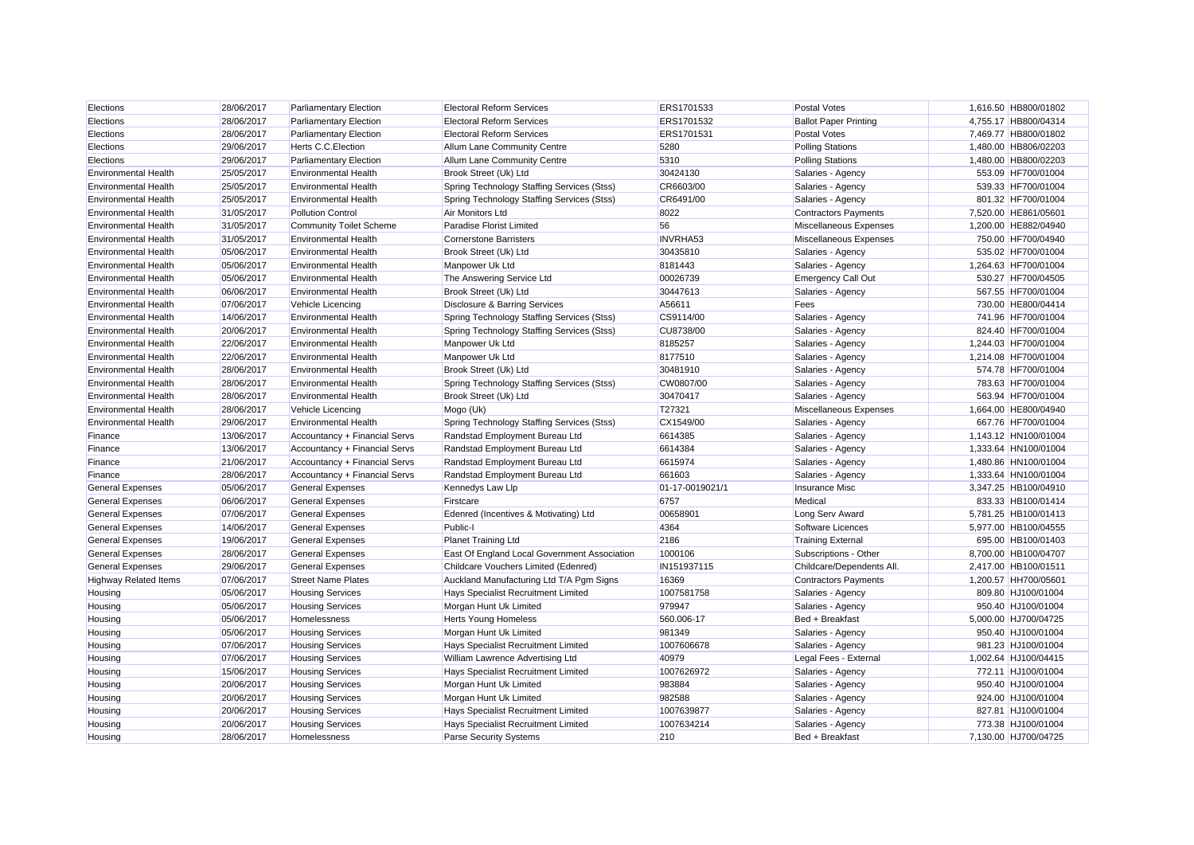| Elections                    | 28/06/2017 | <b>Parliamentary Election</b>  | <b>Electoral Reform Services</b>             | ERS1701533      | <b>Postal Votes</b>          | 1,616.50 HB800/01802 |
|------------------------------|------------|--------------------------------|----------------------------------------------|-----------------|------------------------------|----------------------|
| Elections                    | 28/06/2017 | <b>Parliamentary Election</b>  | <b>Electoral Reform Services</b>             | ERS1701532      | <b>Ballot Paper Printing</b> | 4,755.17 HB800/04314 |
| Elections                    | 28/06/2017 | <b>Parliamentary Election</b>  | <b>Electoral Reform Services</b>             | ERS1701531      | <b>Postal Votes</b>          | 7,469.77 HB800/01802 |
| Elections                    | 29/06/2017 | Herts C.C. Election            | Allum Lane Community Centre                  | 5280            | <b>Polling Stations</b>      | 1,480.00 HB806/02203 |
| Elections                    | 29/06/2017 | <b>Parliamentary Election</b>  | Allum Lane Community Centre                  | 5310            | <b>Polling Stations</b>      | 1,480.00 HB800/02203 |
| <b>Environmental Health</b>  | 25/05/2017 | <b>Environmental Health</b>    | Brook Street (Uk) Ltd                        | 30424130        | Salaries - Agency            | 553.09 HF700/01004   |
| <b>Environmental Health</b>  | 25/05/2017 | <b>Environmental Health</b>    | Spring Technology Staffing Services (Stss)   | CR6603/00       | Salaries - Agency            | 539.33 HF700/01004   |
| <b>Environmental Health</b>  | 25/05/2017 | <b>Environmental Health</b>    | Spring Technology Staffing Services (Stss)   | CR6491/00       | Salaries - Agency            | 801.32 HF700/01004   |
| <b>Environmental Health</b>  | 31/05/2017 | <b>Pollution Control</b>       | Air Monitors Ltd                             | 8022            | <b>Contractors Payments</b>  | 7,520.00 HE861/05601 |
| <b>Environmental Health</b>  | 31/05/2017 | <b>Community Toilet Scheme</b> | <b>Paradise Florist Limited</b>              | 56              | Miscellaneous Expenses       | 1,200.00 HE882/04940 |
| <b>Environmental Health</b>  | 31/05/2017 | <b>Environmental Health</b>    | <b>Cornerstone Barristers</b>                | <b>INVRHA53</b> | Miscellaneous Expenses       | 750.00 HF700/04940   |
| <b>Environmental Health</b>  | 05/06/2017 | <b>Environmental Health</b>    | Brook Street (Uk) Ltd                        | 30435810        | Salaries - Agency            | 535.02 HF700/01004   |
| <b>Environmental Health</b>  | 05/06/2017 | <b>Environmental Health</b>    | Manpower Uk Ltd                              | 8181443         | Salaries - Agency            | 1,264.63 HF700/01004 |
| <b>Environmental Health</b>  | 05/06/2017 | <b>Environmental Health</b>    | The Answering Service Ltd                    | 00026739        | <b>Emergency Call Out</b>    | 530.27 HF700/04505   |
| <b>Environmental Health</b>  | 06/06/2017 | <b>Environmental Health</b>    | Brook Street (Uk) Ltd                        | 30447613        | Salaries - Agency            | 567.55 HF700/01004   |
| <b>Environmental Health</b>  | 07/06/2017 | <b>Vehicle Licencing</b>       | Disclosure & Barring Services                | A56611          | Fees                         | 730.00 HE800/04414   |
| <b>Environmental Health</b>  | 14/06/2017 | <b>Environmental Health</b>    | Spring Technology Staffing Services (Stss)   | CS9114/00       | Salaries - Agency            | 741.96 HF700/01004   |
| <b>Environmental Health</b>  | 20/06/2017 | <b>Environmental Health</b>    | Spring Technology Staffing Services (Stss)   | CU8738/00       | Salaries - Agency            | 824.40 HF700/01004   |
| <b>Environmental Health</b>  | 22/06/2017 | <b>Environmental Health</b>    | Manpower Uk Ltd                              | 8185257         | Salaries - Agency            | 1,244.03 HF700/01004 |
| <b>Environmental Health</b>  | 22/06/2017 | <b>Environmental Health</b>    | Manpower Uk Ltd                              | 8177510         | Salaries - Agency            | 1,214.08 HF700/01004 |
| <b>Environmental Health</b>  | 28/06/2017 | <b>Environmental Health</b>    | Brook Street (Uk) Ltd                        | 30481910        | Salaries - Agency            | 574.78 HF700/01004   |
| <b>Environmental Health</b>  | 28/06/2017 | <b>Environmental Health</b>    | Spring Technology Staffing Services (Stss)   | CW0807/00       | Salaries - Agency            | 783.63 HF700/01004   |
| <b>Environmental Health</b>  | 28/06/2017 | <b>Environmental Health</b>    | Brook Street (Uk) Ltd                        | 30470417        | Salaries - Agency            | 563.94 HF700/01004   |
| <b>Environmental Health</b>  | 28/06/2017 | <b>Vehicle Licencing</b>       | Mogo (Uk)                                    | T27321          | Miscellaneous Expenses       | 1,664.00 HE800/04940 |
| <b>Environmental Health</b>  | 29/06/2017 | <b>Environmental Health</b>    | Spring Technology Staffing Services (Stss)   | CX1549/00       | Salaries - Agency            | 667.76 HF700/01004   |
| Finance                      | 13/06/2017 | Accountancy + Financial Servs  | Randstad Employment Bureau Ltd               | 6614385         | Salaries - Agency            | 1,143.12 HN100/01004 |
| Finance                      | 13/06/2017 | Accountancy + Financial Servs  | Randstad Employment Bureau Ltd               | 6614384         | Salaries - Agency            | 1,333.64 HN100/01004 |
| Finance                      | 21/06/2017 | Accountancy + Financial Servs  | Randstad Employment Bureau Ltd               | 6615974         | Salaries - Agency            | 1,480.86 HN100/01004 |
| Finance                      | 28/06/2017 | Accountancy + Financial Servs  | Randstad Employment Bureau Ltd               | 661603          | Salaries - Agency            | 1,333.64 HN100/01004 |
| <b>General Expenses</b>      | 05/06/2017 | <b>General Expenses</b>        | Kennedys Law Llp                             | 01-17-0019021/1 | <b>Insurance Misc</b>        | 3,347.25 HB100/04910 |
| <b>General Expenses</b>      | 06/06/2017 | <b>General Expenses</b>        | Firstcare                                    | 6757            | Medical                      | 833.33 HB100/01414   |
| <b>General Expenses</b>      | 07/06/2017 | <b>General Expenses</b>        | Edenred (Incentives & Motivating) Ltd        | 00658901        | Long Serv Award              | 5,781.25 HB100/01413 |
| <b>General Expenses</b>      | 14/06/2017 | <b>General Expenses</b>        | Public-I                                     | 4364            | Software Licences            | 5,977.00 HB100/04555 |
| <b>General Expenses</b>      | 19/06/2017 | <b>General Expenses</b>        | <b>Planet Training Ltd</b>                   | 2186            | <b>Training External</b>     | 695.00 HB100/01403   |
| <b>General Expenses</b>      | 28/06/2017 | <b>General Expenses</b>        | East Of England Local Government Association | 1000106         | Subscriptions - Other        | 8,700.00 HB100/04707 |
| <b>General Expenses</b>      | 29/06/2017 | <b>General Expenses</b>        | Childcare Vouchers Limited (Edenred)         | IN151937115     | Childcare/Dependents All.    | 2,417.00 HB100/01511 |
| <b>Highway Related Items</b> | 07/06/2017 | <b>Street Name Plates</b>      | Auckland Manufacturing Ltd T/A Pgm Signs     | 16369           | <b>Contractors Payments</b>  | 1,200.57 HH700/05601 |
| Housing                      | 05/06/2017 | <b>Housing Services</b>        | <b>Hays Specialist Recruitment Limited</b>   | 1007581758      | Salaries - Agency            | 809.80 HJ100/01004   |
| Housing                      | 05/06/2017 | <b>Housing Services</b>        | Morgan Hunt Uk Limited                       | 979947          | Salaries - Agency            | 950.40 HJ100/01004   |
| Housing                      | 05/06/2017 | Homelessness                   | <b>Herts Young Homeless</b>                  | 560.006-17      | Bed + Breakfast              | 5,000.00 HJ700/04725 |
| Housing                      | 05/06/2017 | <b>Housing Services</b>        | Morgan Hunt Uk Limited                       | 981349          | Salaries - Agency            | 950.40 HJ100/01004   |
| Housing                      | 07/06/2017 | <b>Housing Services</b>        | Hays Specialist Recruitment Limited          | 1007606678      | Salaries - Agency            | 981.23 HJ100/01004   |
| Housing                      | 07/06/2017 | <b>Housing Services</b>        | William Lawrence Advertising Ltd             | 40979           | Legal Fees - External        | 1,002.64 HJ100/04415 |
| Housing                      | 15/06/2017 | <b>Housing Services</b>        | Hays Specialist Recruitment Limited          | 1007626972      | Salaries - Agency            | 772.11 HJ100/01004   |
| Housing                      | 20/06/2017 | <b>Housing Services</b>        | Morgan Hunt Uk Limited                       | 983884          | Salaries - Agency            | 950.40 HJ100/01004   |
| Housing                      | 20/06/2017 | <b>Housing Services</b>        | Morgan Hunt Uk Limited                       | 982588          | Salaries - Agency            | 924.00 HJ100/01004   |
| Housing                      | 20/06/2017 | <b>Housing Services</b>        | Hays Specialist Recruitment Limited          | 1007639877      | Salaries - Agency            | 827.81 HJ100/01004   |
| Housing                      | 20/06/2017 | <b>Housing Services</b>        | Hays Specialist Recruitment Limited          | 1007634214      | Salaries - Agency            | 773.38 HJ100/01004   |
| Housing                      | 28/06/2017 | <b>Homelessness</b>            | <b>Parse Security Systems</b>                | 210             | Bed + Breakfast              | 7.130.00 HJ700/04725 |
|                              |            |                                |                                              |                 |                              |                      |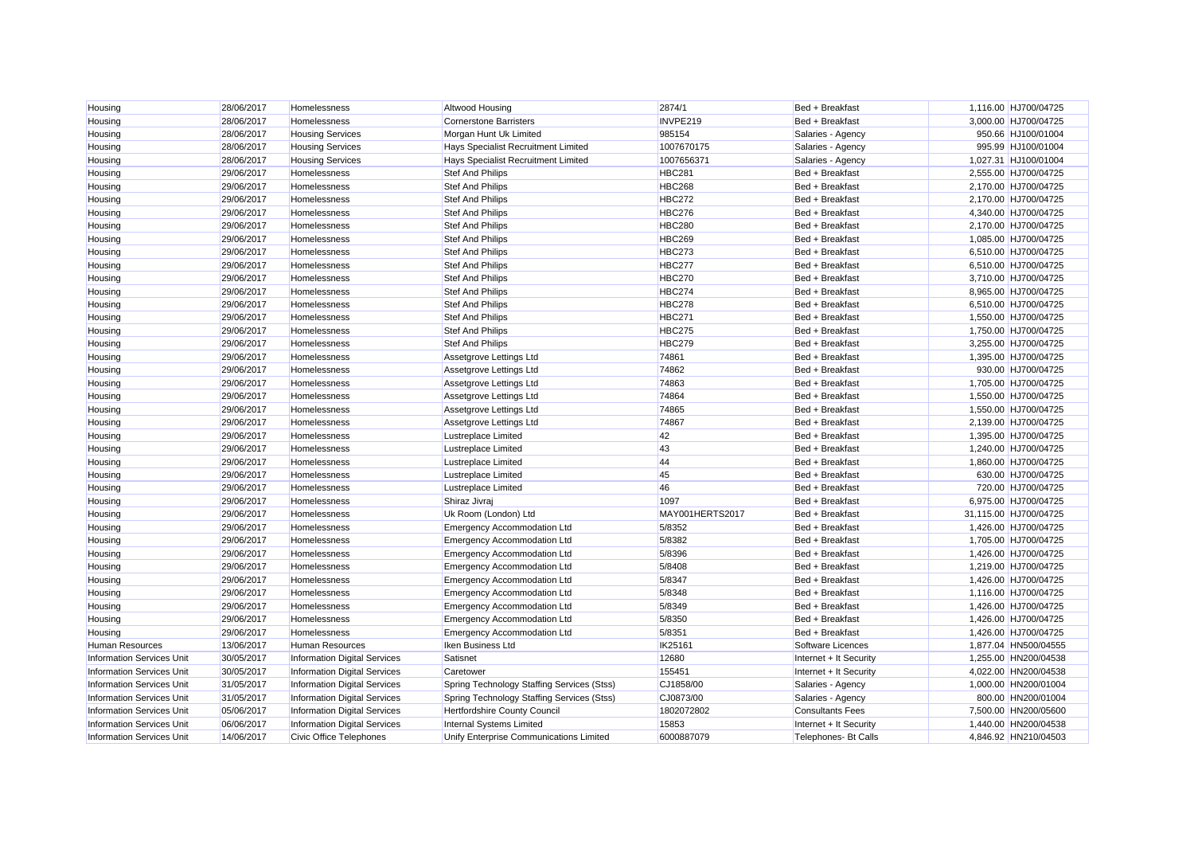| Housing                          | 28/06/2017 | Homelessness                        | Altwood Housing                            | 2874/1          | Bed + Breakfast         | 1,116.00 HJ700/04725  |
|----------------------------------|------------|-------------------------------------|--------------------------------------------|-----------------|-------------------------|-----------------------|
| Housing                          | 28/06/2017 | Homelessness                        | <b>Cornerstone Barristers</b>              | INVPE219        | Bed + Breakfast         | 3,000.00 HJ700/04725  |
| Housing                          | 28/06/2017 | <b>Housing Services</b>             | Morgan Hunt Uk Limited                     | 985154          | Salaries - Agency       | 950.66 HJ100/01004    |
| Housing                          | 28/06/2017 | <b>Housing Services</b>             | Hays Specialist Recruitment Limited        | 1007670175      | Salaries - Agency       | 995.99 HJ100/01004    |
| Housing                          | 28/06/2017 | <b>Housing Services</b>             | Hays Specialist Recruitment Limited        | 1007656371      | Salaries - Agency       | 1,027.31 HJ100/01004  |
| Housing                          | 29/06/2017 | Homelessness                        | <b>Stef And Philips</b>                    | <b>HBC281</b>   | Bed + Breakfast         | 2,555.00 HJ700/04725  |
| Housing                          | 29/06/2017 | <b>Homelessness</b>                 | <b>Stef And Philips</b>                    | <b>HBC268</b>   | Bed + Breakfast         | 2,170.00 HJ700/04725  |
| Housing                          | 29/06/2017 | Homelessness                        | Stef And Philips                           | <b>HBC272</b>   | Bed + Breakfast         | 2,170.00 HJ700/04725  |
| Housing                          | 29/06/2017 | Homelessness                        | Stef And Philips                           | <b>HBC276</b>   | Bed + Breakfast         | 4,340.00 HJ700/04725  |
| Housing                          | 29/06/2017 | Homelessness                        | Stef And Philips                           | <b>HBC280</b>   | Bed + Breakfast         | 2,170.00 HJ700/04725  |
| Housing                          | 29/06/2017 | Homelessness                        | <b>Stef And Philips</b>                    | <b>HBC269</b>   | Bed + Breakfast         | 1,085.00 HJ700/04725  |
| Housing                          | 29/06/2017 | Homelessness                        | Stef And Philips                           | <b>HBC273</b>   | Bed + Breakfast         | 6,510.00 HJ700/04725  |
| Housing                          | 29/06/2017 | Homelessness                        | Stef And Philips                           | HBC277          | Bed + Breakfast         | 6,510.00 HJ700/04725  |
| Housina                          | 29/06/2017 | Homelessness                        | Stef And Philips                           | <b>HBC270</b>   | Bed + Breakfast         | 3,710.00 HJ700/04725  |
| Housing                          | 29/06/2017 | Homelessness                        | <b>Stef And Philips</b>                    | HBC274          | Bed + Breakfast         | 8,965.00 HJ700/04725  |
| Housing                          | 29/06/2017 | Homelessness                        | Stef And Philips                           | <b>HBC278</b>   | Bed + Breakfast         | 6,510.00 HJ700/04725  |
| Housing                          | 29/06/2017 | Homelessness                        | Stef And Philips                           | <b>HBC271</b>   | Bed + Breakfast         | 1,550.00 HJ700/04725  |
| Housing                          | 29/06/2017 | Homelessness                        | <b>Stef And Philips</b>                    | HBC275          | Bed + Breakfast         | 1,750.00 HJ700/04725  |
| Housing                          | 29/06/2017 | Homelessness                        | Stef And Philips                           | <b>HBC279</b>   | Bed + Breakfast         | 3,255.00 HJ700/04725  |
| Housing                          | 29/06/2017 | Homelessness                        | Assetgrove Lettings Ltd                    | 74861           | Bed + Breakfast         | 1,395.00 HJ700/04725  |
| Housing                          | 29/06/2017 | Homelessness                        | Assetgrove Lettings Ltd                    | 74862           | Bed + Breakfast         | 930.00 HJ700/04725    |
| Housing                          | 29/06/2017 | Homelessness                        | Assetgrove Lettings Ltd                    | 74863           | Bed + Breakfast         | 1,705.00 HJ700/04725  |
| Housing                          | 29/06/2017 | Homelessness                        | Assetgrove Lettings Ltd                    | 74864           | Bed + Breakfast         | 1,550.00 HJ700/04725  |
| Housing                          | 29/06/2017 | Homelessness                        | Assetgrove Lettings Ltd                    | 74865           | Bed + Breakfast         | 1,550.00 HJ700/04725  |
| Housing                          | 29/06/2017 | Homelessness                        | Assetgrove Lettings Ltd                    | 74867           | Bed + Breakfast         | 2,139.00 HJ700/04725  |
| Housing                          | 29/06/2017 | Homelessness                        | Lustreplace Limited                        | 42              | Bed + Breakfast         | 1,395.00 HJ700/04725  |
| Housing                          | 29/06/2017 | Homelessness                        | Lustreplace Limited                        | 43              | Bed + Breakfast         | 1,240.00 HJ700/04725  |
| Housing                          | 29/06/2017 | Homelessness                        | <b>Lustreplace Limited</b>                 | 44              | Bed + Breakfast         | 1,860.00 HJ700/04725  |
| Housing                          | 29/06/2017 | Homelessness                        | <b>Lustreplace Limited</b>                 | 45              | Bed + Breakfast         | 630.00 HJ700/04725    |
| Housing                          | 29/06/2017 | <b>Homelessness</b>                 | <b>Lustreplace Limited</b>                 | 46              | Bed + Breakfast         | 720.00 HJ700/04725    |
| Housing                          | 29/06/2017 | Homelessness                        | Shiraz Jivraj                              | 1097            | Bed + Breakfast         | 6,975.00 HJ700/04725  |
| Housing                          | 29/06/2017 | Homelessness                        | Uk Room (London) Ltd                       | MAY001HERTS2017 | Bed + Breakfast         | 31,115.00 HJ700/04725 |
| Housing                          | 29/06/2017 | Homelessness                        | <b>Emergency Accommodation Ltd</b>         | 5/8352          | Bed + Breakfast         | 1,426.00 HJ700/04725  |
| Housing                          | 29/06/2017 | <b>Homelessness</b>                 | <b>Emergency Accommodation Ltd</b>         | 5/8382          | Bed + Breakfast         | 1,705.00 HJ700/04725  |
| Housing                          | 29/06/2017 | Homelessness                        | <b>Emergency Accommodation Ltd</b>         | 5/8396          | Bed + Breakfast         | 1,426.00 HJ700/04725  |
| Housing                          | 29/06/2017 | Homelessness                        | <b>Emergency Accommodation Ltd</b>         | 5/8408          | Bed + Breakfast         | 1,219.00 HJ700/04725  |
| Housing                          | 29/06/2017 | Homelessness                        | <b>Emergency Accommodation Ltd</b>         | 5/8347          | Bed + Breakfast         | 1,426.00 HJ700/04725  |
| Housing                          | 29/06/2017 | Homelessness                        | Emergency Accommodation Ltd                | 5/8348          | Bed + Breakfast         | 1,116.00 HJ700/04725  |
| Housing                          | 29/06/2017 | Homelessness                        | <b>Emergency Accommodation Ltd</b>         | 5/8349          | Bed + Breakfast         | 1,426.00 HJ700/04725  |
| Housing                          | 29/06/2017 | Homelessness                        | <b>Emergency Accommodation Ltd</b>         | 5/8350          | Bed + Breakfast         | 1,426.00 HJ700/04725  |
| Housing                          | 29/06/2017 | Homelessness                        | Emergency Accommodation Ltd                | 5/8351          | Bed + Breakfast         | 1,426.00 HJ700/04725  |
| <b>Human Resources</b>           | 13/06/2017 | Human Resources                     | Iken Business Ltd                          | IK25161         | Software Licences       | 1,877.04 HN500/04555  |
| <b>Information Services Unit</b> | 30/05/2017 | <b>Information Digital Services</b> | Satisnet                                   | 12680           | Internet + It Security  | 1,255.00 HN200/04538  |
| <b>Information Services Unit</b> | 30/05/2017 | Information Digital Services        | Caretower                                  | 155451          | Internet + It Security  | 4,022.00 HN200/04538  |
| <b>Information Services Unit</b> | 31/05/2017 | <b>Information Digital Services</b> | Spring Technology Staffing Services (Stss) | CJ1858/00       | Salaries - Agency       | 1,000.00 HN200/01004  |
| <b>Information Services Unit</b> | 31/05/2017 | <b>Information Digital Services</b> | Spring Technology Staffing Services (Stss) | CJ0873/00       | Salaries - Agency       | 800.00 HN200/01004    |
| <b>Information Services Unit</b> | 05/06/2017 | <b>Information Digital Services</b> | Hertfordshire County Council               | 1802072802      | <b>Consultants Fees</b> | 7,500.00 HN200/05600  |
| <b>Information Services Unit</b> | 06/06/2017 | <b>Information Digital Services</b> | <b>Internal Systems Limited</b>            | 15853           | Internet + It Security  | 1.440.00 HN200/04538  |
| <b>Information Services Unit</b> | 14/06/2017 | <b>Civic Office Telephones</b>      | Unify Enterprise Communications Limited    | 6000887079      | Telephones- Bt Calls    | 4.846.92 HN210/04503  |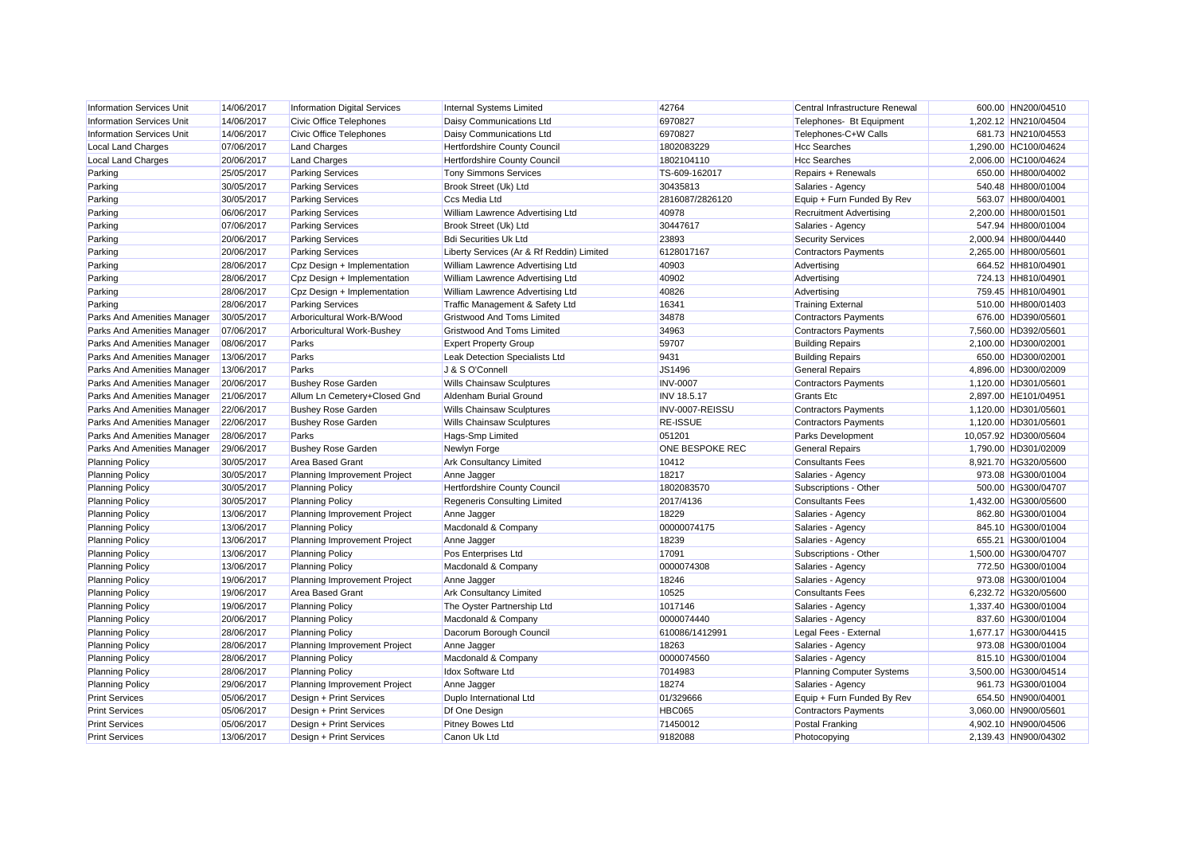| <b>Information Services Unit</b> | 14/06/2017 | <b>Information Digital Services</b> | Internal Systems Limited                  | 42764           | Central Infrastructure Renewal   | 600.00 HN200/04510    |
|----------------------------------|------------|-------------------------------------|-------------------------------------------|-----------------|----------------------------------|-----------------------|
| <b>Information Services Unit</b> | 14/06/2017 | <b>Civic Office Telephones</b>      | <b>Daisy Communications Ltd</b>           | 6970827         | Telephones- Bt Equipment         | 1,202.12 HN210/04504  |
| <b>Information Services Unit</b> | 14/06/2017 | <b>Civic Office Telephones</b>      | <b>Daisy Communications Ltd</b>           | 6970827         | Telephones-C+W Calls             | 681.73 HN210/04553    |
| <b>Local Land Charges</b>        | 07/06/2017 | <b>Land Charges</b>                 | <b>Hertfordshire County Council</b>       | 1802083229      | <b>Hcc Searches</b>              | 1,290.00 HC100/04624  |
| <b>Local Land Charges</b>        | 20/06/2017 | <b>Land Charges</b>                 | <b>Hertfordshire County Council</b>       | 1802104110      | <b>Hcc Searches</b>              | 2,006.00 HC100/04624  |
| Parking                          | 25/05/2017 | <b>Parking Services</b>             | <b>Tony Simmons Services</b>              | TS-609-162017   | Repairs + Renewals               | 650.00 HH800/04002    |
| Parking                          | 30/05/2017 | <b>Parking Services</b>             | Brook Street (Uk) Ltd                     | 30435813        | Salaries - Agency                | 540.48 HH800/01004    |
| Parking                          | 30/05/2017 | <b>Parking Services</b>             | Ccs Media Ltd                             | 2816087/2826120 | Equip + Furn Funded By Rev       | 563.07 HH800/04001    |
| Parking                          | 06/06/2017 | <b>Parking Services</b>             | William Lawrence Advertising Ltd          | 40978           | <b>Recruitment Advertising</b>   | 2,200.00 HH800/01501  |
| Parking                          | 07/06/2017 | <b>Parking Services</b>             | Brook Street (Uk) Ltd                     | 30447617        | Salaries - Agency                | 547.94 HH800/01004    |
| Parking                          | 20/06/2017 | <b>Parking Services</b>             | <b>Bdi Securities Uk Ltd</b>              | 23893           | <b>Security Services</b>         | 2,000.94 HH800/04440  |
| Parking                          | 20/06/2017 | <b>Parking Services</b>             | Liberty Services (Ar & Rf Reddin) Limited | 6128017167      | <b>Contractors Payments</b>      | 2,265.00 HH800/05601  |
| Parking                          | 28/06/2017 | Cpz Design + Implementation         | William Lawrence Advertising Ltd          | 40903           | Advertising                      | 664.52 HH810/04901    |
| Parking                          | 28/06/2017 | Cpz Design + Implementation         | William Lawrence Advertising Ltd          | 40902           | Advertising                      | 724.13 HH810/04901    |
| Parking                          | 28/06/2017 | Cpz Design + Implementation         | William Lawrence Advertising Ltd          | 40826           | Advertising                      | 759.45 HH810/04901    |
| Parking                          | 28/06/2017 | <b>Parking Services</b>             | Traffic Management & Safety Ltd           | 16341           | <b>Training External</b>         | 510.00 HH800/01403    |
| Parks And Amenities Manager      | 30/05/2017 | Arboricultural Work-B/Wood          | <b>Gristwood And Toms Limited</b>         | 34878           | <b>Contractors Payments</b>      | 676.00 HD390/05601    |
| Parks And Amenities Manager      | 07/06/2017 | Arboricultural Work-Bushey          | <b>Gristwood And Toms Limited</b>         | 34963           | <b>Contractors Payments</b>      | 7,560.00 HD392/05601  |
| Parks And Amenities Manager      | 08/06/2017 | Parks                               | <b>Expert Property Group</b>              | 59707           | <b>Building Repairs</b>          | 2,100.00 HD300/02001  |
| Parks And Amenities Manager      | 13/06/2017 | Parks                               | Leak Detection Specialists Ltd            | 9431            | <b>Building Repairs</b>          | 650.00 HD300/02001    |
| Parks And Amenities Manager      | 13/06/2017 | Parks                               | J & S O'Connell                           | JS1496          | <b>General Repairs</b>           | 4,896.00 HD300/02009  |
| Parks And Amenities Manager      | 20/06/2017 | <b>Bushey Rose Garden</b>           | <b>Wills Chainsaw Sculptures</b>          | <b>INV-0007</b> | <b>Contractors Payments</b>      | 1,120.00 HD301/05601  |
| Parks And Amenities Manager      | 21/06/2017 | Allum Ln Cemetery+Closed Gnd        | Aldenham Burial Ground                    | INV 18.5.17     | <b>Grants Etc</b>                | 2,897.00 HE101/04951  |
| Parks And Amenities Manager      | 22/06/2017 | <b>Bushey Rose Garden</b>           | <b>Wills Chainsaw Sculptures</b>          | INV-0007-REISSU | <b>Contractors Payments</b>      | 1,120.00 HD301/05601  |
| Parks And Amenities Manager      | 22/06/2017 | <b>Bushey Rose Garden</b>           | <b>Wills Chainsaw Sculptures</b>          | <b>RE-ISSUE</b> | <b>Contractors Payments</b>      | 1,120.00 HD301/05601  |
| Parks And Amenities Manager      | 28/06/2017 | Parks                               | Hags-Smp Limited                          | 051201          | <b>Parks Development</b>         | 10,057.92 HD300/05604 |
| Parks And Amenities Manager      | 29/06/2017 | <b>Bushey Rose Garden</b>           | Newlyn Forge                              | ONE BESPOKE REC | <b>General Repairs</b>           | 1,790.00 HD301/02009  |
| <b>Planning Policy</b>           | 30/05/2017 | <b>Area Based Grant</b>             | <b>Ark Consultancy Limited</b>            | 10412           | <b>Consultants Fees</b>          | 8,921.70 HG320/05600  |
| <b>Planning Policy</b>           | 30/05/2017 | Planning Improvement Project        | Anne Jagger                               | 18217           | Salaries - Agency                | 973.08 HG300/01004    |
| <b>Planning Policy</b>           | 30/05/2017 | <b>Planning Policy</b>              | Hertfordshire County Council              | 1802083570      | Subscriptions - Other            | 500.00 HG300/04707    |
| <b>Planning Policy</b>           | 30/05/2017 | <b>Planning Policy</b>              | <b>Regeneris Consulting Limited</b>       | 2017/4136       | <b>Consultants Fees</b>          | 1,432.00 HG300/05600  |
| <b>Planning Policy</b>           | 13/06/2017 | Planning Improvement Project        | Anne Jagger                               | 18229           | Salaries - Agency                | 862.80 HG300/01004    |
| <b>Planning Policy</b>           | 13/06/2017 | <b>Planning Policy</b>              | Macdonald & Company                       | 00000074175     | Salaries - Agency                | 845.10 HG300/01004    |
| <b>Planning Policy</b>           | 13/06/2017 | Planning Improvement Project        | Anne Jagger                               | 18239           | Salaries - Agency                | 655.21 HG300/01004    |
| <b>Planning Policy</b>           | 13/06/2017 | <b>Planning Policy</b>              | Pos Enterprises Ltd                       | 17091           | Subscriptions - Other            | 1,500.00 HG300/04707  |
| <b>Planning Policy</b>           | 13/06/2017 | <b>Planning Policy</b>              | Macdonald & Company                       | 0000074308      | Salaries - Agency                | 772.50 HG300/01004    |
| <b>Planning Policy</b>           | 19/06/2017 | Planning Improvement Project        | Anne Jagger                               | 18246           | Salaries - Agency                | 973.08 HG300/01004    |
| <b>Planning Policy</b>           | 19/06/2017 | <b>Area Based Grant</b>             | <b>Ark Consultancy Limited</b>            | 10525           | <b>Consultants Fees</b>          | 6,232.72 HG320/05600  |
| <b>Planning Policy</b>           | 19/06/2017 | <b>Planning Policy</b>              | The Oyster Partnership Ltd                | 1017146         | Salaries - Agency                | 1.337.40 HG300/01004  |
| <b>Planning Policy</b>           | 20/06/2017 | <b>Planning Policy</b>              | Macdonald & Company                       | 0000074440      | Salaries - Agency                | 837.60 HG300/01004    |
| <b>Planning Policy</b>           | 28/06/2017 | <b>Planning Policy</b>              | Dacorum Borough Council                   | 610086/1412991  | Legal Fees - External            | 1,677.17 HG300/04415  |
| <b>Planning Policy</b>           | 28/06/2017 | Planning Improvement Project        | Anne Jagger                               | 18263           | Salaries - Agency                | 973.08 HG300/01004    |
| <b>Planning Policy</b>           | 28/06/2017 | <b>Planning Policy</b>              | Macdonald & Company                       | 0000074560      | Salaries - Agency                | 815.10 HG300/01004    |
| <b>Planning Policy</b>           | 28/06/2017 | <b>Planning Policy</b>              | <b>Idox Software Ltd</b>                  | 7014983         | <b>Planning Computer Systems</b> | 3,500.00 HG300/04514  |
| <b>Planning Policy</b>           | 29/06/2017 | Planning Improvement Project        | Anne Jagger                               | 18274           | Salaries - Agency                | 961.73 HG300/01004    |
| <b>Print Services</b>            | 05/06/2017 | Design + Print Services             | Duplo International Ltd                   | 01/329666       | Equip + Furn Funded By Rev       | 654.50 HN900/04001    |
| <b>Print Services</b>            | 05/06/2017 | Design + Print Services             | Df One Design                             | <b>HBC065</b>   | <b>Contractors Payments</b>      | 3,060.00 HN900/05601  |
| <b>Print Services</b>            | 05/06/2017 |                                     |                                           | 71450012        |                                  | 4,902.10 HN900/04506  |
|                                  | 13/06/2017 | Design + Print Services             | Pitney Bowes Ltd                          | 9182088         | <b>Postal Franking</b>           | 2.139.43 HN900/04302  |
| <b>Print Services</b>            |            | Design + Print Services             | Canon Uk Ltd                              |                 | Photocopying                     |                       |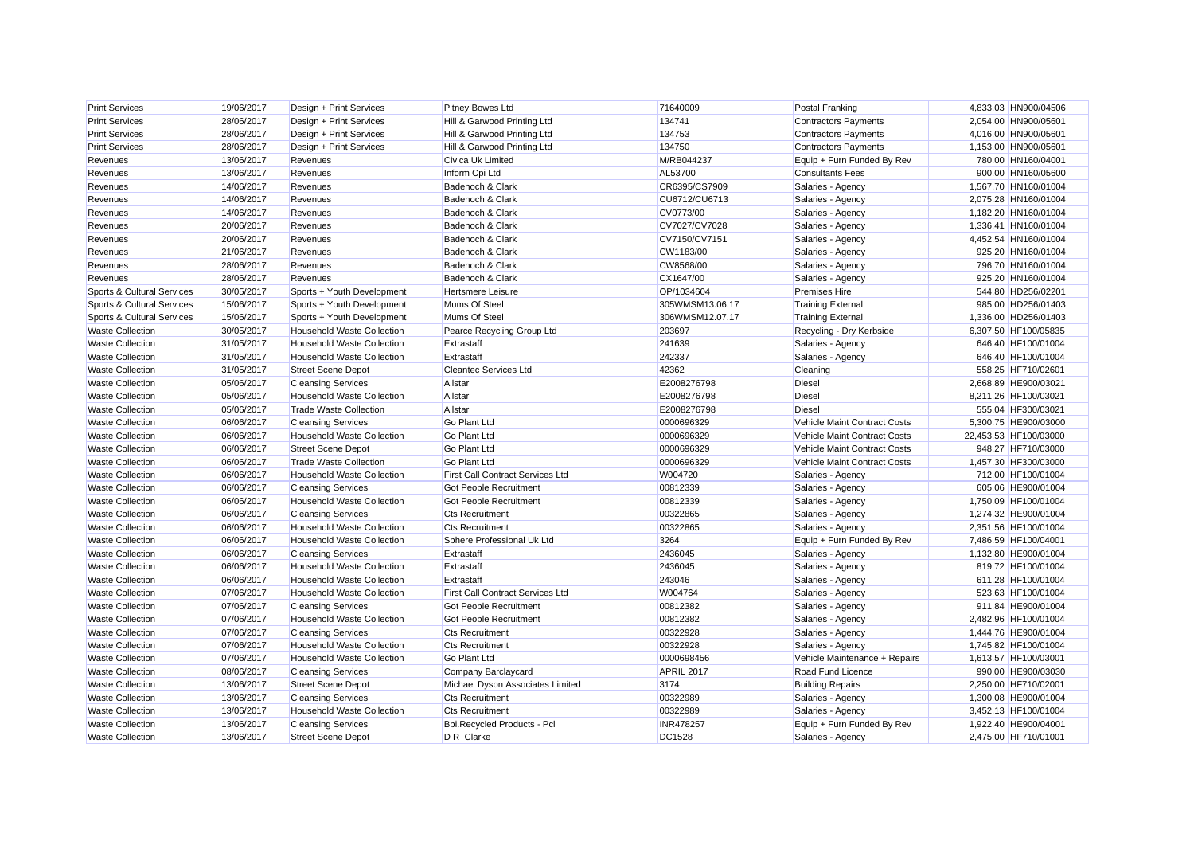| <b>Print Services</b>      | 19/06/2017 | Design + Print Services           | <b>Pitney Bowes Ltd</b>                 | 71640009        | Postal Franking               | 4,833.03 HN900/04506  |
|----------------------------|------------|-----------------------------------|-----------------------------------------|-----------------|-------------------------------|-----------------------|
| <b>Print Services</b>      | 28/06/2017 | Design + Print Services           | Hill & Garwood Printing Ltd             | 134741          | <b>Contractors Payments</b>   | 2,054.00 HN900/05601  |
| <b>Print Services</b>      | 28/06/2017 | Design + Print Services           | Hill & Garwood Printing Ltd             | 134753          | <b>Contractors Payments</b>   | 4,016.00 HN900/05601  |
| <b>Print Services</b>      | 28/06/2017 | Design + Print Services           | Hill & Garwood Printing Ltd             | 134750          | <b>Contractors Payments</b>   | 1,153.00 HN900/05601  |
| Revenues                   | 13/06/2017 | Revenues                          | Civica Uk Limited                       | M/RB044237      | Equip + Furn Funded By Rev    | 780.00 HN160/04001    |
| Revenues                   | 13/06/2017 | Revenues                          | Inform Cpi Ltd                          | AL53700         | <b>Consultants Fees</b>       | 900.00 HN160/05600    |
| Revenues                   | 14/06/2017 | Revenues                          | Badenoch & Clark                        | CR6395/CS7909   | Salaries - Agency             | 1,567.70 HN160/01004  |
| Revenues                   | 14/06/2017 | Revenues                          | Badenoch & Clark                        | CU6712/CU6713   | Salaries - Agency             | 2,075.28 HN160/01004  |
| Revenues                   | 14/06/2017 | Revenues                          | Badenoch & Clark                        | CV0773/00       | Salaries - Agency             | 1,182.20 HN160/01004  |
| Revenues                   | 20/06/2017 | Revenues                          | Badenoch & Clark                        | CV7027/CV7028   | Salaries - Agency             | 1,336.41 HN160/01004  |
| Revenues                   | 20/06/2017 | Revenues                          | Badenoch & Clark                        | CV7150/CV7151   | Salaries - Agency             | 4,452.54 HN160/01004  |
| Revenues                   | 21/06/2017 | Revenues                          | Badenoch & Clark                        | CW1183/00       | Salaries - Agency             | 925.20 HN160/01004    |
| Revenues                   | 28/06/2017 | Revenues                          | Badenoch & Clark                        | CW8568/00       | Salaries - Agency             | 796.70 HN160/01004    |
| Revenues                   | 28/06/2017 | Revenues                          | Badenoch & Clark                        | CX1647/00       | Salaries - Agency             | 925.20 HN160/01004    |
| Sports & Cultural Services | 30/05/2017 | Sports + Youth Development        | <b>Hertsmere Leisure</b>                | OP/1034604      | <b>Premises Hire</b>          | 544.80 HD256/02201    |
| Sports & Cultural Services | 15/06/2017 | Sports + Youth Development        | Mums Of Steel                           | 305WMSM13.06.17 | <b>Training External</b>      | 985.00 HD256/01403    |
| Sports & Cultural Services | 15/06/2017 | Sports + Youth Development        | Mums Of Steel                           | 306WMSM12.07.17 | <b>Training External</b>      | 1,336.00 HD256/01403  |
| <b>Waste Collection</b>    | 30/05/2017 | <b>Household Waste Collection</b> | Pearce Recycling Group Ltd              | 203697          | Recycling - Dry Kerbside      | 6,307.50 HF100/05835  |
| <b>Waste Collection</b>    | 31/05/2017 | <b>Household Waste Collection</b> | Extrastaff                              | 241639          | Salaries - Agency             | 646.40 HF100/01004    |
| <b>Waste Collection</b>    | 31/05/2017 | <b>Household Waste Collection</b> | Extrastaff                              | 242337          | Salaries - Agency             | 646.40 HF100/01004    |
| <b>Waste Collection</b>    | 31/05/2017 | <b>Street Scene Depot</b>         | <b>Cleantec Services Ltd</b>            | 42362           | Cleaning                      | 558.25 HF710/02601    |
| <b>Waste Collection</b>    | 05/06/2017 | <b>Cleansing Services</b>         | Allstar                                 | E2008276798     | <b>Diesel</b>                 | 2,668.89 HE900/03021  |
| <b>Waste Collection</b>    | 05/06/2017 | <b>Household Waste Collection</b> | Allstar                                 | E2008276798     | <b>Diesel</b>                 | 8,211.26 HF100/03021  |
| <b>Waste Collection</b>    | 05/06/2017 | <b>Trade Waste Collection</b>     | Allstar                                 | E2008276798     | <b>Diesel</b>                 | 555.04 HF300/03021    |
| <b>Waste Collection</b>    | 06/06/2017 | <b>Cleansing Services</b>         | <b>Go Plant Ltd</b>                     | 0000696329      | Vehicle Maint Contract Costs  | 5,300.75 HE900/03000  |
| <b>Waste Collection</b>    | 06/06/2017 | <b>Household Waste Collection</b> | <b>Go Plant Ltd</b>                     | 0000696329      | Vehicle Maint Contract Costs  | 22,453.53 HF100/03000 |
| <b>Waste Collection</b>    | 06/06/2017 | <b>Street Scene Depot</b>         | <b>Go Plant Ltd</b>                     | 0000696329      | Vehicle Maint Contract Costs  | 948.27 HF710/03000    |
| <b>Waste Collection</b>    | 06/06/2017 | <b>Trade Waste Collection</b>     | <b>Go Plant Ltd</b>                     | 0000696329      | Vehicle Maint Contract Costs  | 1.457.30 HF300/03000  |
| <b>Waste Collection</b>    | 06/06/2017 | <b>Household Waste Collection</b> | First Call Contract Services Ltd        | W004720         | Salaries - Agency             | 712.00 HF100/01004    |
| <b>Waste Collection</b>    | 06/06/2017 | <b>Cleansing Services</b>         | Got People Recruitment                  | 00812339        | Salaries - Agency             | 605.06 HE900/01004    |
| <b>Waste Collection</b>    | 06/06/2017 | <b>Household Waste Collection</b> | Got People Recruitment                  | 00812339        | Salaries - Agency             | 1,750.09 HF100/01004  |
| <b>Waste Collection</b>    | 06/06/2017 | <b>Cleansing Services</b>         | <b>Cts Recruitment</b>                  | 00322865        | Salaries - Agency             | 1,274.32 HE900/01004  |
| <b>Waste Collection</b>    | 06/06/2017 | <b>Household Waste Collection</b> | <b>Cts Recruitment</b>                  | 00322865        | Salaries - Agency             | 2,351.56 HF100/01004  |
| <b>Waste Collection</b>    | 06/06/2017 | <b>Household Waste Collection</b> | Sphere Professional Uk Ltd              | 3264            | Equip + Furn Funded By Rev    | 7,486.59 HF100/04001  |
| <b>Waste Collection</b>    | 06/06/2017 | <b>Cleansing Services</b>         | Extrastaff                              | 2436045         | Salaries - Agency             | 1,132.80 HE900/01004  |
| <b>Waste Collection</b>    | 06/06/2017 | <b>Household Waste Collection</b> | Extrastaff                              | 2436045         | Salaries - Agency             | 819.72 HF100/01004    |
| <b>Waste Collection</b>    | 06/06/2017 | <b>Household Waste Collection</b> | Extrastaff                              | 243046          | Salaries - Agency             | 611.28 HF100/01004    |
| <b>Waste Collection</b>    | 07/06/2017 | <b>Household Waste Collection</b> | <b>First Call Contract Services Ltd</b> | W004764         | Salaries - Agency             | 523.63 HF100/01004    |
| <b>Waste Collection</b>    | 07/06/2017 | <b>Cleansing Services</b>         | Got People Recruitment                  | 00812382        | Salaries - Agency             | 911.84 HE900/01004    |
| <b>Waste Collection</b>    | 07/06/2017 | <b>Household Waste Collection</b> | Got People Recruitment                  | 00812382        | Salaries - Agency             | 2,482.96 HF100/01004  |
| <b>Waste Collection</b>    | 07/06/2017 | <b>Cleansing Services</b>         | <b>Cts Recruitment</b>                  | 00322928        | Salaries - Agency             | 1,444.76 HE900/01004  |
| <b>Waste Collection</b>    | 07/06/2017 | <b>Household Waste Collection</b> | <b>Cts Recruitment</b>                  | 00322928        | Salaries - Agency             | 1,745.82 HF100/01004  |
| <b>Waste Collection</b>    | 07/06/2017 | <b>Household Waste Collection</b> | <b>Go Plant Ltd</b>                     | 0000698456      | Vehicle Maintenance + Repairs | 1,613.57 HF100/03001  |
| <b>Waste Collection</b>    | 08/06/2017 | <b>Cleansing Services</b>         | Company Barclaycard                     | APRIL 2017      | Road Fund Licence             | 990.00 HE900/03030    |
| <b>Waste Collection</b>    | 13/06/2017 | <b>Street Scene Depot</b>         | Michael Dyson Associates Limited        | 3174            | <b>Building Repairs</b>       | 2,250.00 HF710/02001  |
| <b>Waste Collection</b>    | 13/06/2017 | <b>Cleansing Services</b>         | <b>Cts Recruitment</b>                  | 00322989        | Salaries - Agency             | 1,300.08 HE900/01004  |
| <b>Waste Collection</b>    | 13/06/2017 | <b>Household Waste Collection</b> | <b>Cts Recruitment</b>                  | 00322989        | Salaries - Agency             | 3,452.13 HF100/01004  |
| <b>Waste Collection</b>    | 13/06/2017 | <b>Cleansing Services</b>         | <b>Bpi.Recycled Products - Pcl</b>      | INR478257       | Equip + Furn Funded By Rev    | 1,922.40 HE900/04001  |
| <b>Waste Collection</b>    | 13/06/2017 | <b>Street Scene Depot</b>         | D R Clarke                              | <b>DC1528</b>   | Salaries - Agency             | 2.475.00 HF710/01001  |